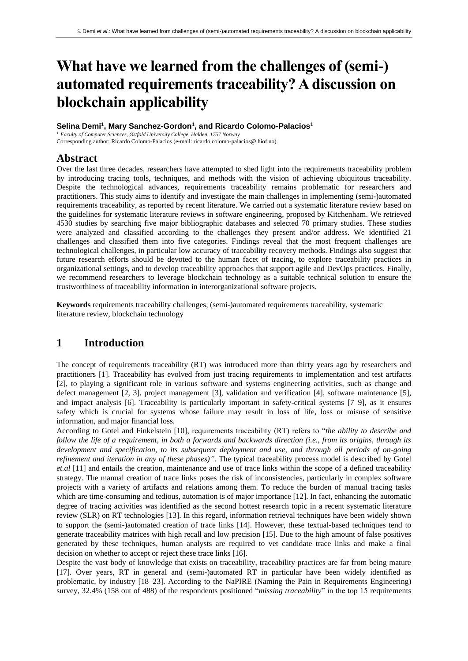# **What have we learned from the challenges of (semi-) automated requirements traceability? A discussion on blockchain applicability**

**Selina Demi<sup>1</sup> , Mary Sanchez-Gordon<sup>1</sup> , and Ricardo Colomo-Palacios<sup>1</sup>**

<sup>1</sup> *Faculty of Computer Sciences, Østfold University College, Halden, 1757 Norway* Corresponding author: Ricardo Colomo-Palacios (e-mail: ricardo.colomo-palacios@ hiof.no).

## **Abstract**

Over the last three decades, researchers have attempted to shed light into the requirements traceability problem by introducing tracing tools, techniques, and methods with the vision of achieving ubiquitous traceability. Despite the technological advances, requirements traceability remains problematic for researchers and practitioners. This study aims to identify and investigate the main challenges in implementing (semi-)automated requirements traceability, as reported by recent literature. We carried out a systematic literature review based on the guidelines for systematic literature reviews in software engineering, proposed by Kitchenham. We retrieved 4530 studies by searching five major bibliographic databases and selected 70 primary studies. These studies were analyzed and classified according to the challenges they present and/or address. We identified 21 challenges and classified them into five categories. Findings reveal that the most frequent challenges are technological challenges, in particular low accuracy of traceability recovery methods. Findings also suggest that future research efforts should be devoted to the human facet of tracing, to explore traceability practices in organizational settings, and to develop traceability approaches that support agile and DevOps practices. Finally, we recommend researchers to leverage blockchain technology as a suitable technical solution to ensure the trustworthiness of traceability information in interorganizational software projects.

**Keywords** requirements traceability challenges, (semi-)automated requirements traceability, systematic literature review, blockchain technology

## **1 Introduction**

The concept of requirements traceability (RT) was introduced more than thirty years ago by researchers and practitioners [1]. Traceability has evolved from just tracing requirements to implementation and test artifacts [2], to playing a significant role in various software and systems engineering activities, such as change and defect management [2, 3], project management [3], validation and verification [4], software maintenance [5], and impact analysis [6]. Traceability is particularly important in safety-critical systems [7–9], as it ensures safety which is crucial for systems whose failure may result in loss of life, loss or misuse of sensitive information, and major financial loss.

According to Gotel and Finkelstein [10], requirements traceability (RT) refers to "*the ability to describe and follow the life of a requirement, in both a forwards and backwards direction (i.e., from its origins, through its development and specification, to its subsequent deployment and use, and through all periods of on-going refinement and iteration in any of these phases)"*. The typical traceability process model is described by Gotel *et.al* [11] and entails the creation, maintenance and use of trace links within the scope of a defined traceability strategy. The manual creation of trace links poses the risk of inconsistencies, particularly in complex software projects with a variety of artifacts and relations among them. To reduce the burden of manual tracing tasks which are time-consuming and tedious, automation is of major importance [12]. In fact, enhancing the automatic degree of tracing activities was identified as the second hottest research topic in a recent systematic literature review (SLR) on RT technologies [13]. In this regard, information retrieval techniques have been widely shown to support the (semi-)automated creation of trace links [14]. However, these textual-based techniques tend to generate traceability matrices with high recall and low precision [15]. Due to the high amount of false positives generated by these techniques, human analysts are required to vet candidate trace links and make a final decision on whether to accept or reject these trace links [16].

Despite the vast body of knowledge that exists on traceability, traceability practices are far from being mature [17]. Over years, RT in general and (semi-)automated RT in particular have been widely identified as problematic, by industry [18–23]. According to the NaPIRE (Naming the Pain in Requirements Engineering) survey, 32.4% (158 out of 488) of the respondents positioned "*missing traceability*" in the top 15 requirements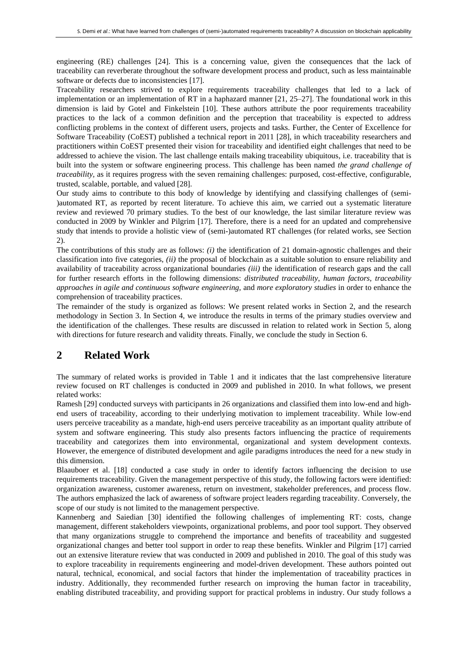engineering (RE) challenges [24]. This is a concerning value, given the consequences that the lack of traceability can reverberate throughout the software development process and product, such as less maintainable software or defects due to inconsistencies [17].

Traceability researchers strived to explore requirements traceability challenges that led to a lack of implementation or an implementation of RT in a haphazard manner [21, 25–27]. The foundational work in this dimension is laid by Gotel and Finkelstein [10]. These authors attribute the poor requirements traceability practices to the lack of a common definition and the perception that traceability is expected to address conflicting problems in the context of different users, projects and tasks. Further, the Center of Excellence for Software Traceability (CoEST) published a technical report in 2011 [28], in which traceability researchers and practitioners within CoEST presented their vision for traceability and identified eight challenges that need to be addressed to achieve the vision. The last challenge entails making traceability ubiquitous*,* i.e. traceability that is built into the system or software engineering process. This challenge has been named *the grand challenge of traceability,* as it requires progress with the seven remaining challenges: purposed, cost-effective, configurable, trusted, scalable, portable, and valued [28].

Our study aims to contribute to this body of knowledge by identifying and classifying challenges of (semi- )automated RT, as reported by recent literature. To achieve this aim, we carried out a systematic literature review and reviewed 70 primary studies. To the best of our knowledge, the last similar literature review was conducted in 2009 by Winkler and Pilgrim [17]. Therefore, there is a need for an updated and comprehensive study that intends to provide a holistic view of (semi-)automated RT challenges (for related works, see Section 2).

The contributions of this study are as follows: *(i)* the identification of 21 domain-agnostic challenges and their classification into five categories, *(ii)* the proposal of blockchain as a suitable solution to ensure reliability and availability of traceability across organizational boundaries *(iii)* the identification of research gaps and the call for further research efforts in the following dimensions: *distributed traceability*, *human factors*, *traceability approaches in agile and continuous software engineering,* and *more exploratory studies* in order to enhance the comprehension of traceability practices.

The remainder of the study is organized as follows: We present related works in Section 2, and the research methodology in Section 3. In Section 4, we introduce the results in terms of the primary studies overview and the identification of the challenges. These results are discussed in relation to related work in Section 5, along with directions for future research and validity threats. Finally, we conclude the study in Section 6.

### **2 Related Work**

The summary of related works is provided in Table 1 and it indicates that the last comprehensive literature review focused on RT challenges is conducted in 2009 and published in 2010. In what follows, we present related works:

Ramesh [29] conducted surveys with participants in 26 organizations and classified them into low-end and highend users of traceability, according to their underlying motivation to implement traceability. While low-end users perceive traceability as a mandate, high-end users perceive traceability as an important quality attribute of system and software engineering. This study also presents factors influencing the practice of requirements traceability and categorizes them into environmental, organizational and system development contexts. However, the emergence of distributed development and agile paradigms introduces the need for a new study in this dimension.

Blaauboer et al. [18] conducted a case study in order to identify factors influencing the decision to use requirements traceability. Given the management perspective of this study, the following factors were identified: organization awareness, customer awareness, return on investment, stakeholder preferences, and process flow. The authors emphasized the lack of awareness of software project leaders regarding traceability. Conversely, the scope of our study is not limited to the management perspective.

Kannenberg and Saiedian [30] identified the following challenges of implementing RT: costs, change management, different stakeholders viewpoints, organizational problems, and poor tool support. They observed that many organizations struggle to comprehend the importance and benefits of traceability and suggested organizational changes and better tool support in order to reap these benefits. Winkler and Pilgrim [17] carried out an extensive literature review that was conducted in 2009 and published in 2010. The goal of this study was to explore traceability in requirements engineering and model-driven development. These authors pointed out natural, technical, economical, and social factors that hinder the implementation of traceability practices in industry. Additionally, they recommended further research on improving the human factor in traceability, enabling distributed traceability, and providing support for practical problems in industry. Our study follows a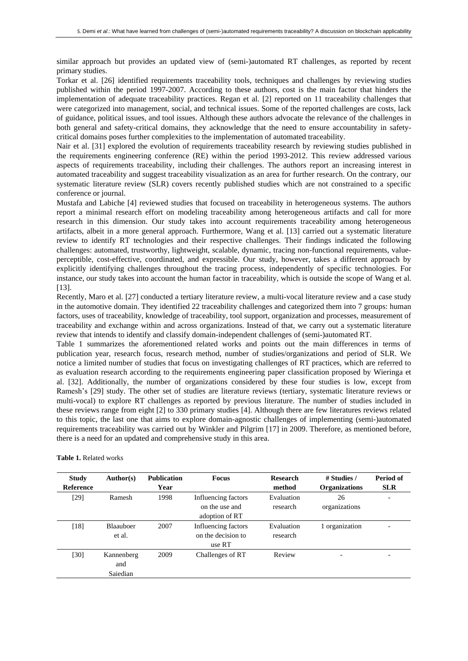similar approach but provides an updated view of (semi-)automated RT challenges, as reported by recent primary studies.

Torkar et al. [26] identified requirements traceability tools, techniques and challenges by reviewing studies published within the period 1997-2007. According to these authors, cost is the main factor that hinders the implementation of adequate traceability practices. Regan et al. [2] reported on 11 traceability challenges that were categorized into management, social, and technical issues. Some of the reported challenges are costs, lack of guidance, political issues, and tool issues. Although these authors advocate the relevance of the challenges in both general and safety-critical domains, they acknowledge that the need to ensure accountability in safetycritical domains poses further complexities to the implementation of automated traceability.

Nair et al. [31] explored the evolution of requirements traceability research by reviewing studies published in the requirements engineering conference (RE) within the period 1993-2012. This review addressed various aspects of requirements traceability, including their challenges. The authors report an increasing interest in automated traceability and suggest traceability visualization as an area for further research. On the contrary, our systematic literature review (SLR) covers recently published studies which are not constrained to a specific conference or journal.

Mustafa and Labiche [4] reviewed studies that focused on traceability in heterogeneous systems. The authors report a minimal research effort on modeling traceability among heterogeneous artifacts and call for more research in this dimension. Our study takes into account requirements traceability among heterogeneous artifacts, albeit in a more general approach. Furthermore, Wang et al. [13] carried out a systematic literature review to identify RT technologies and their respective challenges. Their findings indicated the following challenges: automated, trustworthy, lightweight, scalable, dynamic, tracing non-functional requirements, valueperceptible, cost-effective, coordinated, and expressible. Our study, however, takes a different approach by explicitly identifying challenges throughout the tracing process, independently of specific technologies. For instance, our study takes into account the human factor in traceability, which is outside the scope of Wang et al. [13].

Recently, Maro et al. [27] conducted a tertiary literature review, a multi-vocal literature review and a case study in the automotive domain. They identified 22 traceability challenges and categorized them into 7 groups: human factors, uses of traceability, knowledge of traceability, tool support, organization and processes, measurement of traceability and exchange within and across organizations. Instead of that, we carry out a systematic literature review that intends to identify and classify domain-independent challenges of (semi-)automated RT.

Table 1 summarizes the aforementioned related works and points out the main differences in terms of publication year, research focus, research method, number of studies/organizations and period of SLR. We notice a limited number of studies that focus on investigating challenges of RT practices, which are referred to as evaluation research according to the requirements engineering paper classification proposed by Wieringa et al. [32]. Additionally, the number of organizations considered by these four studies is low, except from Ramesh's [29] study. The other set of studies are literature reviews (tertiary, systematic literature reviews or multi-vocal) to explore RT challenges as reported by previous literature. The number of studies included in these reviews range from eight [2] to 330 primary studies [4]. Although there are few literatures reviews related to this topic, the last one that aims to explore domain-agnostic challenges of implementing (semi-)automated requirements traceability was carried out by Winkler and Pilgrim [17] in 2009. Therefore, as mentioned before, there is a need for an updated and comprehensive study in this area.

| <b>Study</b><br><b>Reference</b> | Author(s)                     | <b>Publication</b><br>Year | <b>Focus</b>                                            | <b>Research</b><br>method | # Studies /<br><b>Organizations</b> | Period of<br><b>SLR</b>  |
|----------------------------------|-------------------------------|----------------------------|---------------------------------------------------------|---------------------------|-------------------------------------|--------------------------|
| [29]                             | Ramesh                        | 1998                       | Influencing factors<br>on the use and<br>adoption of RT | Evaluation<br>research    | 26<br>organizations                 | $\overline{\phantom{a}}$ |
| $\lceil 18 \rceil$               | <b>Blaauboer</b><br>et al.    | 2007                       | Influencing factors<br>on the decision to<br>use RT     | Evaluation<br>research    | 1 organization                      |                          |
| [30]                             | Kannenberg<br>and<br>Saiedian | 2009                       | Challenges of RT                                        | Review                    | $\overline{\phantom{0}}$            | $\overline{\phantom{0}}$ |

**Table 1.** Related works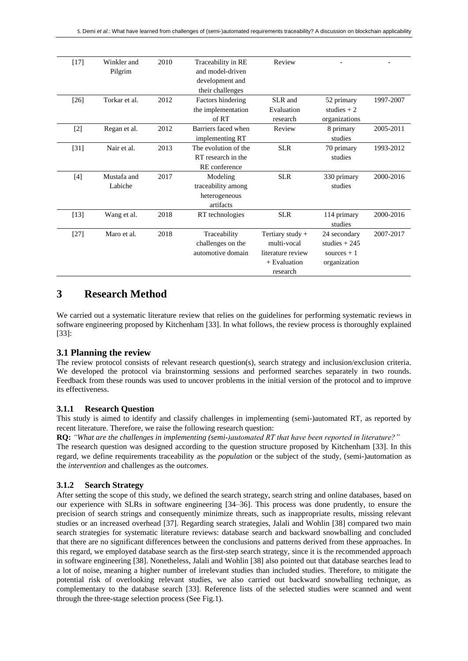| $[17]$ | Winkler and<br>Pilgrim | 2010 | Traceability in RE<br>and model-driven<br>development and<br>their challenges | Review                                                                             |                                                                |           |
|--------|------------------------|------|-------------------------------------------------------------------------------|------------------------------------------------------------------------------------|----------------------------------------------------------------|-----------|
| $[26]$ | Torkar et al.          | 2012 | Factors hindering<br>the implementation<br>of RT                              | SLR and<br>Evaluation<br>research                                                  | 52 primary<br>studies $+2$<br>organizations                    | 1997-2007 |
| $[2]$  | Regan et al.           | 2012 | Barriers faced when<br>implementing RT                                        | Review                                                                             | 8 primary<br>studies                                           | 2005-2011 |
| $[31]$ | Nair et al.            | 2013 | The evolution of the<br>RT research in the<br>RE conference                   | <b>SLR</b>                                                                         | 70 primary<br>studies                                          | 1993-2012 |
| $[4]$  | Mustafa and<br>Labiche | 2017 | Modeling<br>traceability among<br>heterogeneous<br>artifacts                  | <b>SLR</b>                                                                         | 330 primary<br>studies                                         | 2000-2016 |
| $[13]$ | Wang et al.            | 2018 | RT technologies                                                               | <b>SLR</b>                                                                         | 114 primary<br>studies                                         | 2000-2016 |
| $[27]$ | Maro et al.            | 2018 | Traceability<br>challenges on the<br>automotive domain                        | Tertiary study +<br>multi-vocal<br>literature review<br>$+$ Evaluation<br>research | 24 secondary<br>studies $+245$<br>sources $+1$<br>organization | 2007-2017 |

## **3 Research Method**

We carried out a systematic literature review that relies on the guidelines for performing systematic reviews in software engineering proposed by Kitchenham [33]. In what follows, the review process is thoroughly explained [33]:

#### **3.1 Planning the review**

The review protocol consists of relevant research question(s), search strategy and inclusion/exclusion criteria. We developed the protocol via brainstorming sessions and performed searches separately in two rounds. Feedback from these rounds was used to uncover problems in the initial version of the protocol and to improve its effectiveness.

#### **3.1.1 Research Question**

This study is aimed to identify and classify challenges in implementing (semi-)automated RT, as reported by recent literature. Therefore, we raise the following research question:

**RQ:** *"What are the challenges in implementing (semi-)automated RT that have been reported in literature?"*

The research question was designed according to the question structure proposed by Kitchenham [33]. In this regard, we define requirements traceability as the *population* or the subject of the study, (semi-)automation as the *intervention* and challenges as the *outcomes*.

#### **3.1.2 Search Strategy**

After setting the scope of this study, we defined the search strategy, search string and online databases, based on our experience with SLRs in software engineering [34–36]. This process was done prudently, to ensure the precision of search strings and consequently minimize threats, such as inappropriate results, missing relevant studies or an increased overhead [37]. Regarding search strategies, Jalali and Wohlin [38] compared two main search strategies for systematic literature reviews: database search and backward snowballing and concluded that there are no significant differences between the conclusions and patterns derived from these approaches. In this regard, we employed database search as the first-step search strategy, since it is the recommended approach in software engineering [38]. Nonetheless, Jalali and Wohlin [38] also pointed out that database searches lead to a lot of noise, meaning a higher number of irrelevant studies than included studies. Therefore, to mitigate the potential risk of overlooking relevant studies, we also carried out backward snowballing technique, as complementary to the database search [33]. Reference lists of the selected studies were scanned and went through the three-stage selection process (See Fig.1).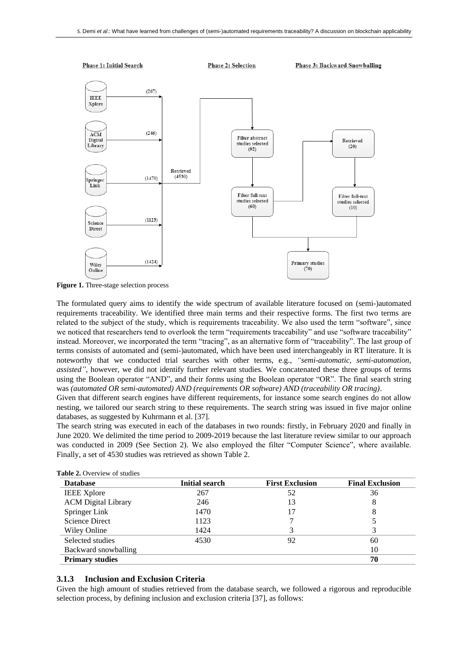

**Figure 1.** Three-stage selection process

The formulated query aims to identify the wide spectrum of available literature focused on (semi-)automated requirements traceability. We identified three main terms and their respective forms. The first two terms are related to the subject of the study, which is requirements traceability. We also used the term "software", since we noticed that researchers tend to overlook the term "requirements traceability" and use "software traceability" instead. Moreover, we incorporated the term "tracing", as an alternative form of "traceability". The last group of terms consists of automated and (semi-)automated, which have been used interchangeably in RT literature. It is noteworthy that we conducted trial searches with other terms, e.g., *"semi-automatic, semi-automation, assisted"*, however, we did not identify further relevant studies. We concatenated these three groups of terms using the Boolean operator "AND", and their forms using the Boolean operator "OR". The final search string was *(automated OR semi-automated) AND (requirements OR software) AND (traceability OR tracing)*.

Given that different search engines have different requirements, for instance some search engines do not allow nesting, we tailored our search string to these requirements. The search string was issued in five major online databases, as suggested by Kuhrmann et al. [37].

The search string was executed in each of the databases in two rounds: firstly, in February 2020 and finally in June 2020. We delimited the time period to 2009-2019 because the last literature review similar to our approach was conducted in 2009 (See Section 2). We also employed the filter "Computer Science", where available. Finally, a set of 4530 studies was retrieved as shown Table 2.

| <b>Database</b>            | <b>Initial search</b> | <b>First Exclusion</b> | <b>Final Exclusion</b> |
|----------------------------|-----------------------|------------------------|------------------------|
| <b>IEEE</b> Xplore         | 267                   | 52                     | 36                     |
| <b>ACM</b> Digital Library | 246                   | 13                     | 8                      |
| Springer Link              | 1470                  |                        | 8                      |
| Science Direct             | 1123                  |                        |                        |
| Wiley Online               | 1424                  |                        |                        |
| Selected studies           | 4530                  | 92                     | 60                     |
| Backward snowballing       |                       |                        | 10                     |
| <b>Primary studies</b>     |                       |                        | 70                     |

|  | <b>Table 2.</b> Overview of studies |
|--|-------------------------------------|
|  |                                     |

#### **3.1.3 Inclusion and Exclusion Criteria**

Given the high amount of studies retrieved from the database search, we followed a rigorous and reproducible selection process, by defining inclusion and exclusion criteria [37], as follows: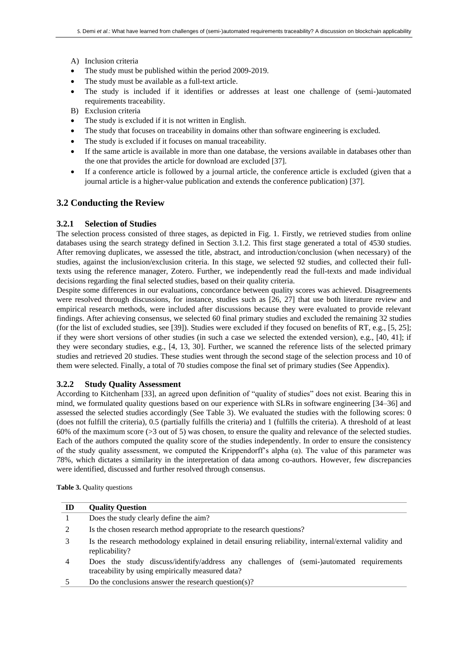- A) Inclusion criteria
- The study must be published within the period 2009-2019.
- The study must be available as a full-text article.
- The study is included if it identifies or addresses at least one challenge of (semi-)automated requirements traceability.
- B) Exclusion criteria
- The study is excluded if it is not written in English.
- The study that focuses on traceability in domains other than software engineering is excluded.
- The study is excluded if it focuses on manual traceability.
- If the same article is available in more than one database, the versions available in databases other than the one that provides the article for download are excluded [37].
- If a conference article is followed by a journal article, the conference article is excluded (given that a journal article is a higher-value publication and extends the conference publication) [37].

#### **3.2 Conducting the Review**

#### **3.2.1 Selection of Studies**

The selection process consisted of three stages, as depicted in Fig. 1. Firstly, we retrieved studies from online databases using the search strategy defined in Section 3.1.2. This first stage generated a total of 4530 studies. After removing duplicates, we assessed the title, abstract, and introduction/conclusion (when necessary) of the studies, against the inclusion/exclusion criteria. In this stage, we selected 92 studies, and collected their fulltexts using the reference manager, Zotero. Further, we independently read the full-texts and made individual decisions regarding the final selected studies, based on their quality criteria.

Despite some differences in our evaluations, concordance between quality scores was achieved. Disagreements were resolved through discussions, for instance, studies such as [26, 27] that use both literature review and empirical research methods, were included after discussions because they were evaluated to provide relevant findings. After achieving consensus, we selected 60 final primary studies and excluded the remaining 32 studies (for the list of excluded studies, see [39]). Studies were excluded if they focused on benefits of RT, e.g., [5, 25]; if they were short versions of other studies (in such a case we selected the extended version), e.g., [40, 41]; if they were secondary studies, e.g., [4, 13, 30]. Further, we scanned the reference lists of the selected primary studies and retrieved 20 studies. These studies went through the second stage of the selection process and 10 of them were selected. Finally, a total of 70 studies compose the final set of primary studies (See Appendix).

#### **3.2.2 Study Quality Assessment**

According to Kitchenham [33], an agreed upon definition of "quality of studies" does not exist. Bearing this in mind, we formulated quality questions based on our experience with SLRs in software engineering [34–36] and assessed the selected studies accordingly (See Table 3). We evaluated the studies with the following scores: 0 (does not fulfill the criteria), 0.5 (partially fulfills the criteria) and 1 (fulfills the criteria). A threshold of at least 60% of the maximum score (>3 out of 5) was chosen, to ensure the quality and relevance of the selected studies. Each of the authors computed the quality score of the studies independently. In order to ensure the consistency of the study quality assessment, we computed the Krippendorff's alpha  $(\alpha)$ . The value of this parameter was 78%, which dictates a similarity in the interpretation of data among co-authors. However, few discrepancies were identified, discussed and further resolved through consensus.

**Table 3.** Quality questions

| ID | <b>Quality Question</b>                                                                                                                     |
|----|---------------------------------------------------------------------------------------------------------------------------------------------|
|    | Does the study clearly define the aim?                                                                                                      |
|    | Is the chosen research method appropriate to the research questions?                                                                        |
| 3  | Is the research methodology explained in detail ensuring reliability, internal/external validity and<br>replicability?                      |
| 4  | Does the study discuss/identify/address any challenges of (semi-)automated requirements<br>traceability by using empirically measured data? |
|    | Do the conclusions answer the research question(s)?                                                                                         |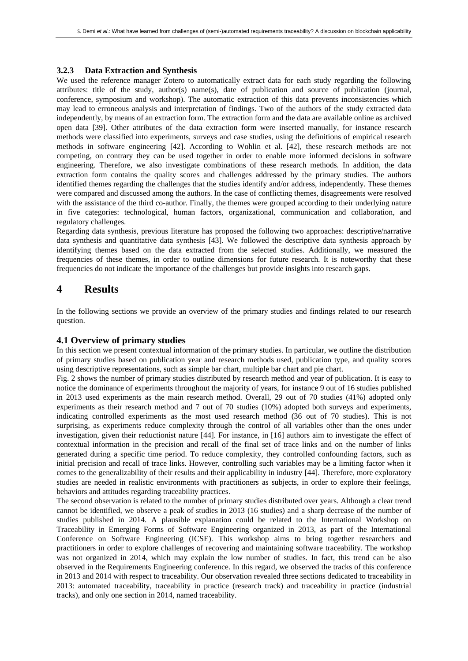#### **3.2.3 Data Extraction and Synthesis**

We used the reference manager Zotero to automatically extract data for each study regarding the following attributes: title of the study, author(s) name(s), date of publication and source of publication (journal, conference, symposium and workshop). The automatic extraction of this data prevents inconsistencies which may lead to erroneous analysis and interpretation of findings. Two of the authors of the study extracted data independently, by means of an extraction form. The extraction form and the data are available online as archived open data [39]. Other attributes of the data extraction form were inserted manually, for instance research methods were classified into experiments, surveys and case studies, using the definitions of empirical research methods in software engineering [42]. According to Wohlin et al. [42], these research methods are not competing, on contrary they can be used together in order to enable more informed decisions in software engineering. Therefore, we also investigate combinations of these research methods. In addition, the data extraction form contains the quality scores and challenges addressed by the primary studies. The authors identified themes regarding the challenges that the studies identify and/or address, independently. These themes were compared and discussed among the authors. In the case of conflicting themes, disagreements were resolved with the assistance of the third co-author. Finally, the themes were grouped according to their underlying nature in five categories: technological, human factors, organizational, communication and collaboration, and regulatory challenges.

Regarding data synthesis, previous literature has proposed the following two approaches: descriptive/narrative data synthesis and quantitative data synthesis [43]. We followed the descriptive data synthesis approach by identifying themes based on the data extracted from the selected studies. Additionally, we measured the frequencies of these themes, in order to outline dimensions for future research. It is noteworthy that these frequencies do not indicate the importance of the challenges but provide insights into research gaps.

## **4 Results**

In the following sections we provide an overview of the primary studies and findings related to our research question.

#### **4.1 Overview of primary studies**

In this section we present contextual information of the primary studies. In particular, we outline the distribution of primary studies based on publication year and research methods used, publication type, and quality scores using descriptive representations, such as simple bar chart, multiple bar chart and pie chart.

Fig. 2 shows the number of primary studies distributed by research method and year of publication. It is easy to notice the dominance of experiments throughout the majority of years, for instance 9 out of 16 studies published in 2013 used experiments as the main research method. Overall, 29 out of 70 studies (41%) adopted only experiments as their research method and 7 out of 70 studies (10%) adopted both surveys and experiments, indicating controlled experiments as the most used research method (36 out of 70 studies). This is not surprising, as experiments reduce complexity through the control of all variables other than the ones under investigation, given their reductionist nature [44]. For instance, in [16] authors aim to investigate the effect of contextual information in the precision and recall of the final set of trace links and on the number of links generated during a specific time period. To reduce complexity, they controlled confounding factors, such as initial precision and recall of trace links. However, controlling such variables may be a limiting factor when it comes to the generalizability of their results and their applicability in industry [44]. Therefore, more exploratory studies are needed in realistic environments with practitioners as subjects, in order to explore their feelings, behaviors and attitudes regarding traceability practices.

The second observation is related to the number of primary studies distributed over years. Although a clear trend cannot be identified, we observe a peak of studies in 2013 (16 studies) and a sharp decrease of the number of studies published in 2014. A plausible explanation could be related to the International Workshop on Traceability in Emerging Forms of Software Engineering organized in 2013, as part of the International Conference on Software Engineering (ICSE). This workshop aims to bring together researchers and practitioners in order to explore challenges of recovering and maintaining software traceability. The workshop was not organized in 2014, which may explain the low number of studies. In fact, this trend can be also observed in the Requirements Engineering conference. In this regard, we observed the tracks of this conference in 2013 and 2014 with respect to traceability. Our observation revealed three sections dedicated to traceability in 2013: automated traceability, traceability in practice (research track) and traceability in practice (industrial tracks), and only one section in 2014, named traceability.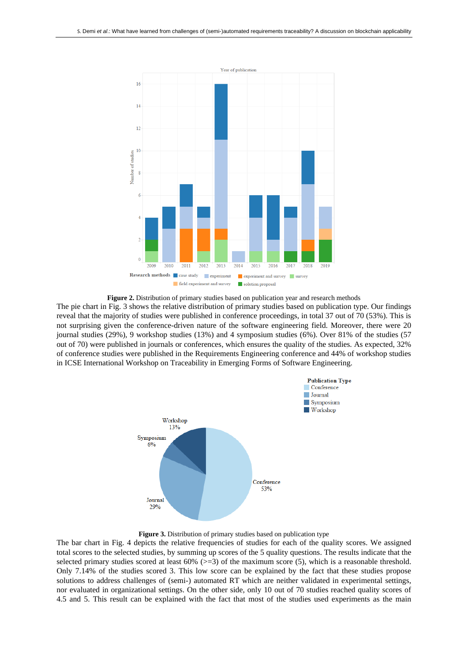

**Figure 2.** Distribution of primary studies based on publication year and research methods

The pie chart in Fig. 3 shows the relative distribution of primary studies based on publication type. Our findings reveal that the majority of studies were published in conference proceedings, in total 37 out of 70 (53%). This is not surprising given the conference-driven nature of the software engineering field. Moreover, there were 20 journal studies (29%), 9 workshop studies (13%) and 4 symposium studies (6%). Over 81% of the studies (57 out of 70) were published in journals or conferences, which ensures the quality of the studies. As expected, 32% of conference studies were published in the Requirements Engineering conference and 44% of workshop studies in ICSE International Workshop on Traceability in Emerging Forms of Software Engineering.



**Figure 3.** Distribution of primary studies based on publication type

The bar chart in Fig. 4 depicts the relative frequencies of studies for each of the quality scores. We assigned total scores to the selected studies, by summing up scores of the 5 quality questions. The results indicate that the selected primary studies scored at least  $60\%$  ( $> = 3$ ) of the maximum score (5), which is a reasonable threshold. Only 7.14% of the studies scored 3. This low score can be explained by the fact that these studies propose solutions to address challenges of (semi-) automated RT which are neither validated in experimental settings, nor evaluated in organizational settings. On the other side, only 10 out of 70 studies reached quality scores of 4.5 and 5. This result can be explained with the fact that most of the studies used experiments as the main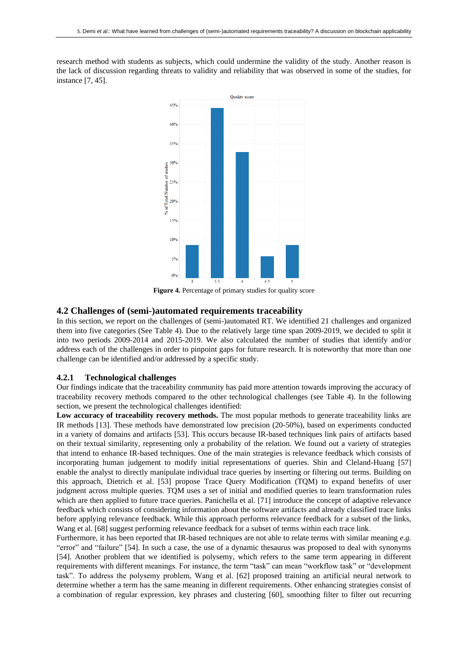research method with students as subjects, which could undermine the validity of the study. Another reason is the lack of discussion regarding threats to validity and reliability that was observed in some of the studies, for instance [7, 45].



**Figure 4.** Percentage of primary studies for quality score

#### **4.2 Challenges of (semi-)automated requirements traceability**

In this section, we report on the challenges of (semi-)automated RT. We identified 21 challenges and organized them into five categories (See Table 4). Due to the relatively large time span 2009-2019, we decided to split it into two periods 2009-2014 and 2015-2019. We also calculated the number of studies that identify and/or address each of the challenges in order to pinpoint gaps for future research. It is noteworthy that more than one challenge can be identified and/or addressed by a specific study.

#### **4.2.1 Technological challenges**

Our findings indicate that the traceability community has paid more attention towards improving the accuracy of traceability recovery methods compared to the other technological challenges (see Table 4). In the following section, we present the technological challenges identified:

**Low accuracy of traceability recovery methods.** The most popular methods to generate traceability links are IR methods [13]. These methods have demonstrated low precision (20-50%), based on experiments conducted in a variety of domains and artifacts [53]. This occurs because IR-based techniques link pairs of artifacts based on their textual similarity, representing only a probability of the relation. We found out a variety of strategies that intend to enhance IR-based techniques. One of the main strategies is relevance feedback which consists of incorporating human judgement to modify initial representations of queries. Shin and Cleland-Huang [57] enable the analyst to directly manipulate individual trace queries by inserting or filtering out terms. Building on this approach, Dietrich et al. [53] propose Trace Query Modification (TQM) to expand benefits of user judgment across multiple queries. TQM uses a set of initial and modified queries to learn transformation rules which are then applied to future trace queries. Panichella et al. [71] introduce the concept of adaptive relevance feedback which consists of considering information about the software artifacts and already classified trace links before applying relevance feedback. While this approach performs relevance feedback for a subset of the links, Wang et al. [68] suggest performing relevance feedback for a subset of terms within each trace link.

Furthermore, it has been reported that IR-based techniques are not able to relate terms with similar meaning *e.g.* "error" and "failure" [54]. In such a case, the use of a dynamic thesaurus was proposed to deal with synonyms [54]. Another problem that we identified is polysemy, which refers to the same term appearing in different requirements with different meanings. For instance, the term "task" can mean "workflow task" or "development task". To address the polysemy problem, Wang et al. [62] proposed training an artificial neural network to determine whether a term has the same meaning in different requirements. Other enhancing strategies consist of a combination of regular expression, key phrases and clustering [60], smoothing filter to filter out recurring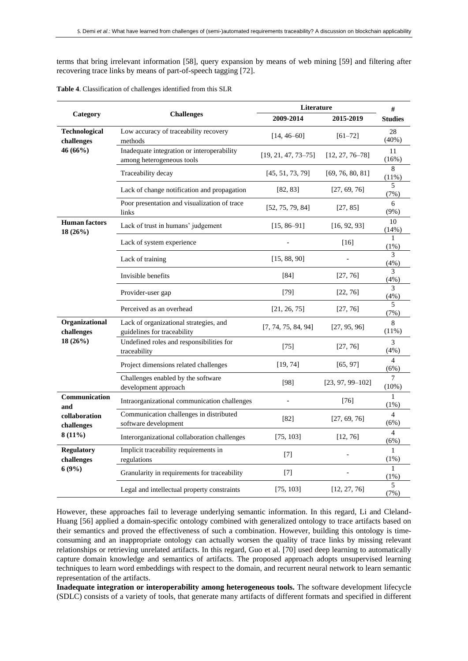terms that bring irrelevant information [58], query expansion by means of web mining [59] and filtering after recovering trace links by means of part-of-speech tagging [72].

|                                 |                                                                         | Literature              |                      | #                                |
|---------------------------------|-------------------------------------------------------------------------|-------------------------|----------------------|----------------------------------|
| Category                        | <b>Challenges</b>                                                       | 2009-2014               | 2015-2019            | <b>Studies</b>                   |
| Technological<br>challenges     | Low accuracy of traceability recovery<br>methods                        | $[14, 46 - 60]$         | $[61 - 72]$          | 28<br>$(40\%)$                   |
| 46 (66%)                        | Inadequate integration or interoperability<br>among heterogeneous tools | $[19, 21, 47, 73 - 75]$ | $[12, 27, 76 - 78]$  | 11<br>(16%)                      |
|                                 | Traceability decay                                                      | [45, 51, 73, 79]        | [69, 76, 80, 81]     | 8<br>$(11\%)$                    |
|                                 | Lack of change notification and propagation                             | [82, 83]                | [27, 69, 76]         | 5<br>(7%)                        |
|                                 | Poor presentation and visualization of trace<br>links                   | [52, 75, 79, 84]        | [27, 85]             | 6<br>$(9\%)$                     |
| <b>Human</b> factors<br>18(26%) | Lack of trust in humans' judgement                                      | $[15, 86 - 91]$         | [16, 92, 93]         | 10<br>(14%)                      |
|                                 | Lack of system experience                                               |                         | $[16]$               | 1<br>$(1\%)$                     |
|                                 | Lack of training                                                        | [15, 88, 90]            |                      | 3<br>(4%)                        |
|                                 | Invisible benefits                                                      | [84]                    | [27, 76]             | 3<br>(4%)                        |
|                                 | Provider-user gap                                                       | $[79]$                  | [22, 76]             | 3<br>(4% )                       |
|                                 | Perceived as an overhead                                                | [21, 26, 75]            | [27, 76]             | 5<br>(7%)                        |
| Organizational<br>challenges    | Lack of organizational strategies, and<br>guidelines for traceability   | [7, 74, 75, 84, 94]     | [27, 95, 96]         | 8<br>(11%)                       |
| 18(26%)                         | Undefined roles and responsibilities for<br>traceability                | $[75]$                  | [27, 76]             | 3<br>(4%)                        |
|                                 | Project dimensions related challenges                                   | [19, 74]                | [65, 97]             | $\overline{\mathcal{L}}$<br>(6%) |
|                                 | Challenges enabled by the software<br>development approach              | [98]                    | $[23, 97, 99 - 102]$ | 7<br>(10%)                       |
| Communication<br>and            | Intraorganizational communication challenges                            |                         | $[76]$               | 1<br>$(1\%)$                     |
| collaboration<br>challenges     | Communication challenges in distributed<br>software development         | $[82]$                  | [27, 69, 76]         | $\overline{4}$<br>(6%)           |
| 8(11%)                          | Interorganizational collaboration challenges                            | [75, 103]               | [12, 76]             | $\overline{4}$<br>(6%)           |
| <b>Regulatory</b><br>challenges | Implicit traceability requirements in<br>regulations                    | [7]                     |                      | $\mathbf{1}$<br>$(1\%)$          |
| 6(9%)                           | Granularity in requirements for traceability                            | $[7]$                   |                      | 1<br>$(1\%)$                     |
|                                 | Legal and intellectual property constraints                             | [75, 103]               | [12, 27, 76]         | 5<br>(7%)                        |

**Table 4**. Classification of challenges identified from this SLR

However, these approaches fail to leverage underlying semantic information. In this regard, Li and Cleland-Huang [56] applied a domain-specific ontology combined with generalized ontology to trace artifacts based on their semantics and proved the effectiveness of such a combination. However, building this ontology is timeconsuming and an inappropriate ontology can actually worsen the quality of trace links by missing relevant relationships or retrieving unrelated artifacts. In this regard, Guo et al. [70] used deep learning to automatically capture domain knowledge and semantics of artifacts. The proposed approach adopts unsupervised learning techniques to learn word embeddings with respect to the domain, and recurrent neural network to learn semantic representation of the artifacts.

**Inadequate integration or interoperability among heterogeneous tools.** The software development lifecycle (SDLC) consists of a variety of tools, that generate many artifacts of different formats and specified in different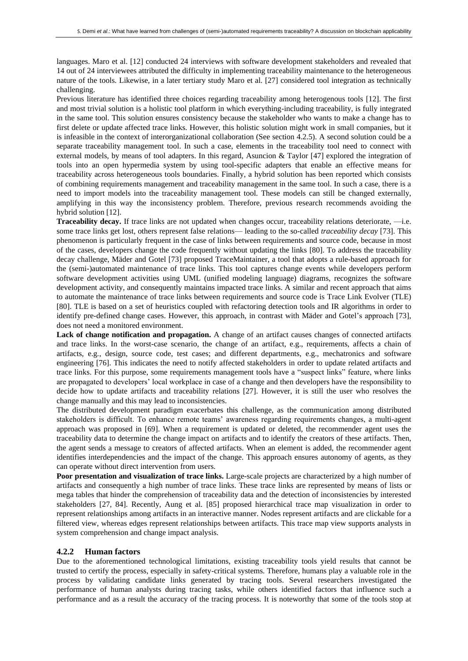languages. Maro et al. [12] conducted 24 interviews with software development stakeholders and revealed that 14 out of 24 interviewees attributed the difficulty in implementing traceability maintenance to the heterogeneous nature of the tools. Likewise, in a later tertiary study Maro et al*.* [27] considered tool integration as technically challenging.

Previous literature has identified three choices regarding traceability among heterogenous tools [12]. The first and most trivial solution is a holistic tool platform in which everything-including traceability, is fully integrated in the same tool. This solution ensures consistency because the stakeholder who wants to make a change has to first delete or update affected trace links. However, this holistic solution might work in small companies, but it is infeasible in the context of interorganizational collaboration (See section 4.2.5). A second solution could be a separate traceability management tool. In such a case, elements in the traceability tool need to connect with external models, by means of tool adapters. In this regard, Asuncion & Taylor [47] explored the integration of tools into an open hypermedia system by using tool-specific adapters that enable an effective means for traceability across heterogeneous tools boundaries. Finally, a hybrid solution has been reported which consists of combining requirements management and traceability management in the same tool. In such a case, there is a need to import models into the traceability management tool. These models can still be changed externally, amplifying in this way the inconsistency problem. Therefore, previous research recommends avoiding the hybrid solution [12].

**Traceability decay.** If trace links are not updated when changes occur, traceability relations deteriorate, ⸺i.e. some trace links get lost, others represent false relations⸺ leading to the so-called *traceability decay* [73]. This phenomenon is particularly frequent in the case of links between requirements and source code, because in most of the cases, developers change the code frequently without updating the links [80]. To address the traceability decay challenge, Mäder and Gotel [73] proposed TraceMaintainer, a tool that adopts a rule-based approach for the (semi-)automated maintenance of trace links. This tool captures change events while developers perform software development activities using UML (unified modeling language) diagrams, recognizes the software development activity, and consequently maintains impacted trace links. A similar and recent approach that aims to automate the maintenance of trace links between requirements and source code is Trace Link Evolver (TLE) [80]. TLE is based on a set of heuristics coupled with refactoring detection tools and IR algorithms in order to identify pre-defined change cases. However, this approach, in contrast with Mäder and Gotel's approach [73], does not need a monitored environment.

**Lack of change notification and propagation.** A change of an artifact causes changes of connected artifacts and trace links. In the worst-case scenario, the change of an artifact, e.g., requirements, affects a chain of artifacts, e.g*.*, design, source code, test cases; and different departments, e.g., mechatronics and software engineering [76]. This indicates the need to notify affected stakeholders in order to update related artifacts and trace links. For this purpose, some requirements management tools have a "suspect links" feature, where links are propagated to developers' local workplace in case of a change and then developers have the responsibility to decide how to update artifacts and traceability relations [27]. However, it is still the user who resolves the change manually and this may lead to inconsistencies.

The distributed development paradigm exacerbates this challenge, as the communication among distributed stakeholders is difficult. To enhance remote teams' awareness regarding requirements changes, a multi-agent approach was proposed in [69]. When a requirement is updated or deleted, the recommender agent uses the traceability data to determine the change impact on artifacts and to identify the creators of these artifacts. Then, the agent sends a message to creators of affected artifacts. When an element is added, the recommender agent identifies interdependencies and the impact of the change. This approach ensures autonomy of agents, as they can operate without direct intervention from users.

**Poor presentation and visualization of trace links.** Large-scale projects are characterized by a high number of artifacts and consequently a high number of trace links. These trace links are represented by means of lists or mega tables that hinder the comprehension of traceability data and the detection of inconsistencies by interested stakeholders [27, 84]. Recently, Aung et al. [85] proposed hierarchical trace map visualization in order to represent relationships among artifacts in an interactive manner. Nodes represent artifacts and are clickable for a filtered view, whereas edges represent relationships between artifacts. This trace map view supports analysts in system comprehension and change impact analysis.

#### **4.2.2 Human factors**

Due to the aforementioned technological limitations, existing traceability tools yield results that cannot be trusted to certify the process, especially in safety-critical systems. Therefore, humans play a valuable role in the process by validating candidate links generated by tracing tools. Several researchers investigated the performance of human analysts during tracing tasks, while others identified factors that influence such a performance and as a result the accuracy of the tracing process. It is noteworthy that some of the tools stop at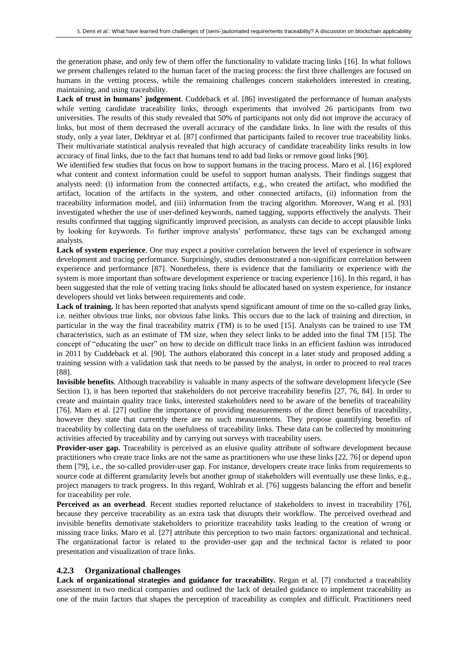the generation phase, and only few of them offer the functionality to validate tracing links [16]. In what follows we present challenges related to the human facet of the tracing process: the first three challenges are focused on humans in the vetting process, while the remaining challenges concern stakeholders interested in creating, maintaining, and using traceability.

**Lack of trust in humans' judgement**. Cuddeback et al. [86] investigated the performance of human analysts while vetting candidate traceability links, through experiments that involved 26 participants from two universities. The results of this study revealed that 50% of participants not only did not improve the accuracy of links, but most of them decreased the overall accuracy of the candidate links. In line with the results of this study, only a year later, Dekhtyar et al. [87] confirmed that participants failed to recover true traceability links. Their multivariate statistical analysis revealed that high accuracy of candidate traceability links results in low accuracy of final links, due to the fact that humans tend to add bad links or remove good links [90].

We identified few studies that focus on how to support humans in the tracing process. Maro et al. [16] explored what content and context information could be useful to support human analysts. Their findings suggest that analysts need: (i) information from the connected artifacts, e.g*.*, who created the artifact, who modified the artifact, location of the artifacts in the system, and other connected artifacts, (ii) information from the traceability information model, and (iii) information from the tracing algorithm. Moreover, Wang et al. [93] investigated whether the use of user-defined keywords, named tagging, supports effectively the analysts. Their results confirmed that tagging significantly improved precision, as analysts can decide to accept plausible links by looking for keywords. To further improve analysts' performance, these tags can be exchanged among analysts.

**Lack of system experience**. One may expect a positive correlation between the level of experience in software development and tracing performance. Surprisingly, studies demonstrated a non-significant correlation between experience and performance [87]. Nonetheless, there is evidence that the familiarity or experience with the system is more important than software development experience or tracing experience [16]. In this regard, it has been suggested that the role of vetting tracing links should be allocated based on system experience, for instance developers should vet links between requirements and code.

**Lack of training.** It has been reported that analysts spend significant amount of time on the so-called gray links, i.e*.* neither obvious true links, nor obvious false links. This occurs due to the lack of training and direction, in particular in the way the final traceability matrix (TM) is to be used [15]. Analysts can be trained to use TM characteristics, such as an estimate of TM size, when they select links to be added into the final TM [15]. The concept of "educating the user" on how to decide on difficult trace links in an efficient fashion was introduced in 2011 by Cuddeback et al. [90]. The authors elaborated this concept in a later study and proposed adding a training session with a validation task that needs to be passed by the analyst, in order to proceed to real traces [88].

**Invisible benefits**. Although traceability is valuable in many aspects of the software development lifecycle (See Section 1), it has been reported that stakeholders do not perceive traceability benefits [27, 76, 84]. In order to create and maintain quality trace links, interested stakeholders need to be aware of the benefits of traceability [76]. Maro et al. [27] outline the importance of providing measurements of the direct benefits of traceability, however they state that currently there are no such measurements. They propose quantifying benefits of traceability by collecting data on the usefulness of traceability links. These data can be collected by monitoring activities affected by traceability and by carrying out surveys with traceability users.

**Provider-user gap.** Traceability is perceived as an elusive quality attribute of software development because practitioners who create trace links are not the same as practitioners who use these links [22, 76] or depend upon them [79], i.e*.*, the so-called provider-user gap. For instance, developers create trace links from requirements to source code at different granularity levels but another group of stakeholders will eventually use these links, e.g., project managers to track progress. In this regard, Wohlrab et al. [76] suggests balancing the effort and benefit for traceability per role.

**Perceived as an overhead**. Recent studies reported reluctance of stakeholders to invest in traceability [76], because they perceive traceability as an extra task that disrupts their workflow. The perceived overhead and invisible benefits demotivate stakeholders to prioritize traceability tasks leading to the creation of wrong or missing trace links. Maro et al. [27] attribute this perception to two main factors: organizational and technical. The organizational factor is related to the provider-user gap and the technical factor is related to poor presentation and visualization of trace links.

#### **4.2.3 Organizational challenges**

**Lack of organizational strategies and guidance for traceability.** Regan et al. [7] conducted a traceability assessment in two medical companies and outlined the lack of detailed guidance to implement traceability as one of the main factors that shapes the perception of traceability as complex and difficult. Practitioners need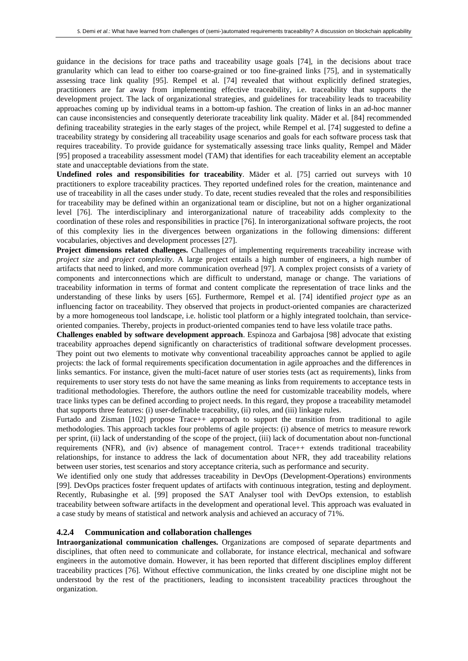guidance in the decisions for trace paths and traceability usage goals [74], in the decisions about trace granularity which can lead to either too coarse-grained or too fine-grained links [75], and in systematically assessing trace link quality [95]. Rempel et al. [74] revealed that without explicitly defined strategies, practitioners are far away from implementing effective traceability, i.e. traceability that supports the development project. The lack of organizational strategies, and guidelines for traceability leads to traceability approaches coming up by individual teams in a bottom-up fashion. The creation of links in an ad-hoc manner can cause inconsistencies and consequently deteriorate traceability link quality. Mäder et al. [84] recommended defining traceability strategies in the early stages of the project, while Rempel et al. [74] suggested to define a traceability strategy by considering all traceability usage scenarios and goals for each software process task that requires traceability. To provide guidance for systematically assessing trace links quality, Rempel and Mäder [95] proposed a traceability assessment model (TAM) that identifies for each traceability element an acceptable state and unacceptable deviations from the state.

**Undefined roles and responsibilities for traceability**. Mäder et al. [75] carried out surveys with 10 practitioners to explore traceability practices. They reported undefined roles for the creation, maintenance and use of traceability in all the cases under study. To date, recent studies revealed that the roles and responsibilities for traceability may be defined within an organizational team or discipline, but not on a higher organizational level [76]. The interdisciplinary and interorganizational nature of traceability adds complexity to the coordination of these roles and responsibilities in practice [76]. In interorganizational software projects, the root of this complexity lies in the divergences between organizations in the following dimensions: different vocabularies, objectives and development processes [27].

**Project dimensions related challenges.** Challenges of implementing requirements traceability increase with *project size* and *project complexity*. A large project entails a high number of engineers, a high number of artifacts that need to linked, and more communication overhead [97]. A complex project consists of a variety of components and interconnections which are difficult to understand, manage or change. The variations of traceability information in terms of format and content complicate the representation of trace links and the understanding of these links by users [65]. Furthermore, Rempel et al. [74] identified *project type* as an influencing factor on traceability. They observed that projects in product-oriented companies are characterized by a more homogeneous tool landscape, i.e*.* holistic tool platform or a highly integrated toolchain, than serviceoriented companies. Thereby, projects in product-oriented companies tend to have less volatile trace paths.

**Challenges enabled by software development approach**. Espinoza and Garbajosa [98] advocate that existing traceability approaches depend significantly on characteristics of traditional software development processes. They point out two elements to motivate why conventional traceability approaches cannot be applied to agile projects: the lack of formal requirements specification documentation in agile approaches and the differences in links semantics. For instance, given the multi-facet nature of user stories tests (act as requirements), links from requirements to user story tests do not have the same meaning as links from requirements to acceptance tests in traditional methodologies. Therefore, the authors outline the need for customizable traceability models, where trace links types can be defined according to project needs. In this regard, they propose a traceability metamodel that supports three features: (i) user-definable traceability, (ii) roles, and (iii) linkage rules.

Furtado and Zisman [102] propose Trace++ approach to support the transition from traditional to agile methodologies. This approach tackles four problems of agile projects: (i) absence of metrics to measure rework per sprint, (ii) lack of understanding of the scope of the project, (iii) lack of documentation about non-functional requirements (NFR), and (iv) absence of management control. Trace++ extends traditional traceability relationships, for instance to address the lack of documentation about NFR, they add traceability relations between user stories, test scenarios and story acceptance criteria, such as performance and security.

We identified only one study that addresses traceability in DevOps (Development-Operations) environments [99]. DevOps practices foster frequent updates of artifacts with continuous integration, testing and deployment. Recently, Rubasinghe et al. [99] proposed the SAT Analyser tool with DevOps extension, to establish traceability between software artifacts in the development and operational level. This approach was evaluated in a case study by means of statistical and network analysis and achieved an accuracy of 71%.

#### **4.2.4 Communication and collaboration challenges**

**Intraorganizational communication challenges.** Organizations are composed of separate departments and disciplines, that often need to communicate and collaborate, for instance electrical, mechanical and software engineers in the automotive domain. However, it has been reported that different disciplines employ different traceability practices [76]. Without effective communication, the links created by one discipline might not be understood by the rest of the practitioners, leading to inconsistent traceability practices throughout the organization.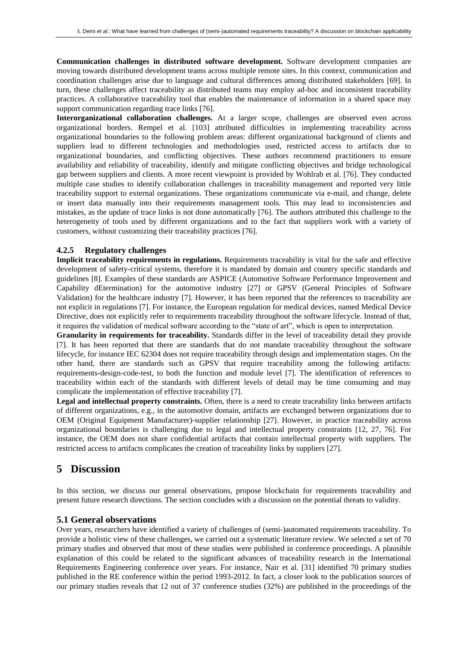**Communication challenges in distributed software development.** Software development companies are moving towards distributed development teams across multiple remote sites. In this context, communication and coordination challenges arise due to language and cultural differences among distributed stakeholders [69]. In turn, these challenges affect traceability as distributed teams may employ ad-hoc and inconsistent traceability practices. A collaborative traceability tool that enables the maintenance of information in a shared space may support communication regarding trace links [76].

**Interorganizational collaboration challenges.** At a larger scope, challenges are observed even across organizational borders. Rempel et al. [103] attributed difficulties in implementing traceability across organizational boundaries to the following problem areas: different organizational background of clients and suppliers lead to different technologies and methodologies used, restricted access to artifacts due to organizational boundaries, and conflicting objectives. These authors recommend practitioners to ensure availability and reliability of traceability, identify and mitigate conflicting objectives and bridge technological gap between suppliers and clients. A more recent viewpoint is provided by Wohlrab et al. [76]. They conducted multiple case studies to identify collaboration challenges in traceability management and reported very little traceability support to external organizations. These organizations communicate via e-mail, and change, delete or insert data manually into their requirements management tools. This may lead to inconsistencies and mistakes, as the update of trace links is not done automatically [76]. The authors attributed this challenge to the heterogeneity of tools used by different organizations and to the fact that suppliers work with a variety of customers, without customizing their traceability practices [76].

#### **4.2.5 Regulatory challenges**

**Implicit traceability requirements in regulations.** Requirements traceability is vital for the safe and effective development of safety-critical systems, therefore it is mandated by domain and country specific standards and guidelines [8]. Examples of these standards are ASPICE (Automotive Software Performance Improvement and Capability dEtermination) for the automotive industry [27] or GPSV (General Principles of Software Validation) for the healthcare industry [7]. However, it has been reported that the references to traceability are not explicit in regulations [7]. For instance, the European regulation for medical devices, named Medical Device Directive, does not explicitly refer to requirements traceability throughout the software lifecycle. Instead of that, it requires the validation of medical software according to the "state of art", which is open to interpretation.

**Granularity in requirements for traceability.** Standards differ in the level of traceability detail they provide [7]. It has been reported that there are standards that do not mandate traceability throughout the software lifecycle, for instance IEC 62304 does not require traceability through design and implementation stages. On the other hand, there are standards such as GPSV that require traceability among the following artifacts: requirements-design-code-test, to both the function and module level [7]. The identification of references to traceability within each of the standards with different levels of detail may be time consuming and may complicate the implementation of effective traceability [7].

**Legal and intellectual property constraints.** Often, there is a need to create traceability links between artifacts of different organizations, e.g., in the automotive domain, artifacts are exchanged between organizations due to OEM (Original Equipment Manufacturer)-supplier relationship [27]. However, in practice traceability across organizational boundaries is challenging due to legal and intellectual property constraints [12, 27, 76]. For instance, the OEM does not share confidential artifacts that contain intellectual property with suppliers. The restricted access to artifacts complicates the creation of traceability links by suppliers [27].

## **5 Discussion**

In this section, we discuss our general observations, propose blockchain for requirements traceability and present future research directions. The section concludes with a discussion on the potential threats to validity.

#### **5.1 General observations**

Over years, researchers have identified a variety of challenges of (semi-)automated requirements traceability. To provide a holistic view of these challenges, we carried out a systematic literature review. We selected a set of 70 primary studies and observed that most of these studies were published in conference proceedings. A plausible explanation of this could be related to the significant advances of traceability research in the International Requirements Engineering conference over years. For instance, Nair et al. [31] identified 70 primary studies published in the RE conference within the period 1993-2012. In fact, a closer look to the publication sources of our primary studies reveals that 12 out of 37 conference studies (32%) are published in the proceedings of the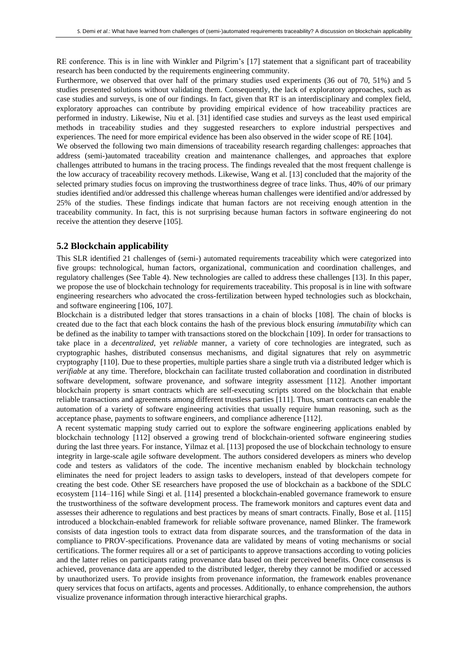RE conference. This is in line with Winkler and Pilgrim's [17] statement that a significant part of traceability research has been conducted by the requirements engineering community.

Furthermore, we observed that over half of the primary studies used experiments (36 out of 70, 51%) and 5 studies presented solutions without validating them. Consequently, the lack of exploratory approaches, such as case studies and surveys, is one of our findings. In fact, given that RT is an interdisciplinary and complex field, exploratory approaches can contribute by providing empirical evidence of how traceability practices are performed in industry. Likewise, Niu et al. [31] identified case studies and surveys as the least used empirical methods in traceability studies and they suggested researchers to explore industrial perspectives and experiences. The need for more empirical evidence has been also observed in the wider scope of RE [104].

We observed the following two main dimensions of traceability research regarding challenges: approaches that address (semi-)automated traceability creation and maintenance challenges, and approaches that explore challenges attributed to humans in the tracing process. The findings revealed that the most frequent challenge is the low accuracy of traceability recovery methods. Likewise, Wang et al. [13] concluded that the majority of the selected primary studies focus on improving the trustworthiness degree of trace links. Thus, 40% of our primary studies identified and/or addressed this challenge whereas human challenges were identified and/or addressed by 25% of the studies. These findings indicate that human factors are not receiving enough attention in the traceability community. In fact, this is not surprising because human factors in software engineering do not receive the attention they deserve [105].

#### **5.2 Blockchain applicability**

This SLR identified 21 challenges of (semi-) automated requirements traceability which were categorized into five groups: technological, human factors, organizational, communication and coordination challenges, and regulatory challenges (See Table 4). New technologies are called to address these challenges [13]. In this paper, we propose the use of blockchain technology for requirements traceability. This proposal is in line with software engineering researchers who advocated the cross-fertilization between hyped technologies such as blockchain, and software engineering [106, 107].

Blockchain is a distributed ledger that stores transactions in a chain of blocks [108]. The chain of blocks is created due to the fact that each block contains the hash of the previous block ensuring *immutability* which can be defined as the inability to tamper with transactions stored on the blockchain [109]. In order for transactions to take place in a *decentralized*, yet *reliable* manner, a variety of core technologies are integrated, such as cryptographic hashes, distributed consensus mechanisms, and digital signatures that rely on asymmetric cryptography [110]. Due to these properties, multiple parties share a single truth via a distributed ledger which is *verifiable* at any time. Therefore, blockchain can facilitate trusted collaboration and coordination in distributed software development, software provenance, and software integrity assessment [112]. Another important blockchain property is smart contracts which are self-executing scripts stored on the blockchain that enable reliable transactions and agreements among different trustless parties [111]. Thus, smart contracts can enable the automation of a variety of software engineering activities that usually require human reasoning, such as the acceptance phase, payments to software engineers, and compliance adherence [112].

A recent systematic mapping study carried out to explore the software engineering applications enabled by blockchain technology [112] observed a growing trend of blockchain-oriented software engineering studies during the last three years. For instance, Yilmaz et al. [113] proposed the use of blockchain technology to ensure integrity in large-scale agile software development. The authors considered developers as miners who develop code and testers as validators of the code. The incentive mechanism enabled by blockchain technology eliminates the need for project leaders to assign tasks to developers, instead of that developers compete for creating the best code. Other SE researchers have proposed the use of blockchain as a backbone of the SDLC ecosystem [114–116] while Singi et al. [114] presented a blockchain-enabled governance framework to ensure the trustworthiness of the software development process. The framework monitors and captures event data and assesses their adherence to regulations and best practices by means of smart contracts. Finally, Bose et al. [115] introduced a blockchain-enabled framework for reliable software provenance, named Blinker. The framework consists of data ingestion tools to extract data from disparate sources, and the transformation of the data in compliance to PROV-specifications. Provenance data are validated by means of voting mechanisms or social certifications. The former requires all or a set of participants to approve transactions according to voting policies and the latter relies on participants rating provenance data based on their perceived benefits. Once consensus is achieved, provenance data are appended to the distributed ledger, thereby they cannot be modified or accessed by unauthorized users. To provide insights from provenance information, the framework enables provenance query services that focus on artifacts, agents and processes. Additionally, to enhance comprehension, the authors visualize provenance information through interactive hierarchical graphs.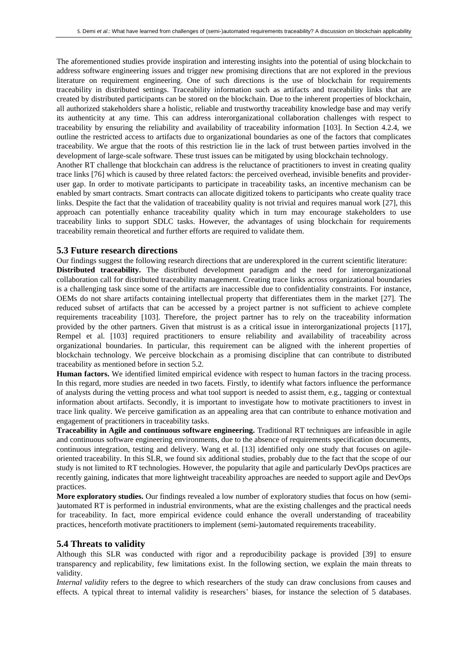The aforementioned studies provide inspiration and interesting insights into the potential of using blockchain to address software engineering issues and trigger new promising directions that are not explored in the previous literature on requirement engineering. One of such directions is the use of blockchain for requirements traceability in distributed settings. Traceability information such as artifacts and traceability links that are created by distributed participants can be stored on the blockchain. Due to the inherent properties of blockchain, all authorized stakeholders share a holistic, reliable and trustworthy traceability knowledge base and may verify its authenticity at any time. This can address interorganizational collaboration challenges with respect to traceability by ensuring the reliability and availability of traceability information [103]. In Section 4.2.4, we outline the restricted access to artifacts due to organizational boundaries as one of the factors that complicates traceability. We argue that the roots of this restriction lie in the lack of trust between parties involved in the development of large-scale software. These trust issues can be mitigated by using blockchain technology. Another RT challenge that blockchain can address is the reluctance of practitioners to invest in creating quality

trace links [76] which is caused by three related factors: the perceived overhead, invisible benefits and provideruser gap. In order to motivate participants to participate in traceability tasks, an incentive mechanism can be enabled by smart contracts. Smart contracts can allocate digitized tokens to participants who create quality trace links. Despite the fact that the validation of traceability quality is not trivial and requires manual work [27], this approach can potentially enhance traceability quality which in turn may encourage stakeholders to use traceability links to support SDLC tasks. However, the advantages of using blockchain for requirements traceability remain theoretical and further efforts are required to validate them.

#### **5.3 Future research directions**

Our findings suggest the following research directions that are underexplored in the current scientific literature: **Distributed traceability.** The distributed development paradigm and the need for interorganizational collaboration call for distributed traceability management. Creating trace links across organizational boundaries is a challenging task since some of the artifacts are inaccessible due to confidentiality constraints. For instance, OEMs do not share artifacts containing intellectual property that differentiates them in the market [27]. The reduced subset of artifacts that can be accessed by a project partner is not sufficient to achieve complete requirements traceability [103]. Therefore, the project partner has to rely on the traceability information provided by the other partners. Given that mistrust is as a critical issue in interorganizational projects [117], Rempel et al. [103] required practitioners to ensure reliability and availability of traceability across organizational boundaries. In particular, this requirement can be aligned with the inherent properties of blockchain technology. We perceive blockchain as a promising discipline that can contribute to distributed traceability as mentioned before in section 5.2.

**Human factors.** We identified limited empirical evidence with respect to human factors in the tracing process. In this regard, more studies are needed in two facets. Firstly, to identify what factors influence the performance of analysts during the vetting process and what tool support is needed to assist them, e.g., tagging or contextual information about artifacts. Secondly, it is important to investigate how to motivate practitioners to invest in trace link quality. We perceive gamification as an appealing area that can contribute to enhance motivation and engagement of practitioners in traceability tasks.

**Traceability in Agile and continuous software engineering.** Traditional RT techniques are infeasible in agile and continuous software engineering environments, due to the absence of requirements specification documents, continuous integration, testing and delivery. Wang et al. [13] identified only one study that focuses on agileoriented traceability. In this SLR, we found six additional studies, probably due to the fact that the scope of our study is not limited to RT technologies. However, the popularity that agile and particularly DevOps practices are recently gaining, indicates that more lightweight traceability approaches are needed to support agile and DevOps practices.

**More exploratory studies.** Our findings revealed a low number of exploratory studies that focus on how (semi- )automated RT is performed in industrial environments, what are the existing challenges and the practical needs for traceability. In fact, more empirical evidence could enhance the overall understanding of traceability practices, henceforth motivate practitioners to implement (semi-)automated requirements traceability.

#### **5.4 Threats to validity**

Although this SLR was conducted with rigor and a reproducibility package is provided [39] to ensure transparency and replicability, few limitations exist. In the following section, we explain the main threats to validity.

*Internal validity* refers to the degree to which researchers of the study can draw conclusions from causes and effects. A typical threat to internal validity is researchers' biases, for instance the selection of 5 databases.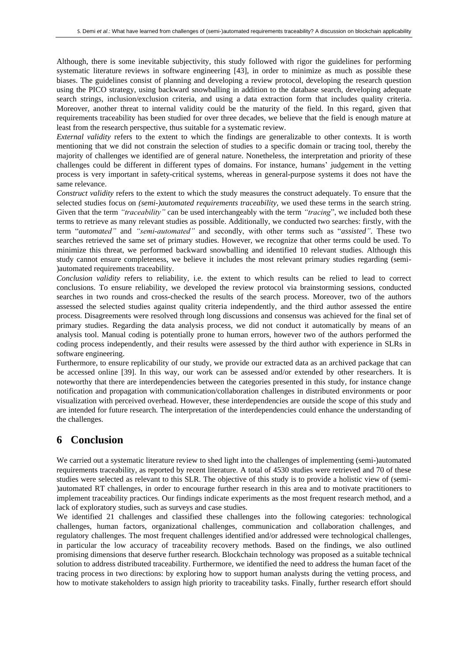Although, there is some inevitable subjectivity, this study followed with rigor the guidelines for performing systematic literature reviews in software engineering [43], in order to minimize as much as possible these biases. The guidelines consist of planning and developing a review protocol, developing the research question using the PICO strategy, using backward snowballing in addition to the database search, developing adequate search strings, inclusion/exclusion criteria, and using a data extraction form that includes quality criteria. Moreover, another threat to internal validity could be the maturity of the field. In this regard, given that requirements traceability has been studied for over three decades, we believe that the field is enough mature at least from the research perspective, thus suitable for a systematic review.

*External validity* refers to the extent to which the findings are generalizable to other contexts. It is worth mentioning that we did not constrain the selection of studies to a specific domain or tracing tool, thereby the majority of challenges we identified are of general nature. Nonetheless, the interpretation and priority of these challenges could be different in different types of domains. For instance, humans' judgement in the vetting process is very important in safety-critical systems, whereas in general-purpose systems it does not have the same relevance.

*Construct validity* refers to the extent to which the study measures the construct adequately. To ensure that the selected studies focus on *(semi-)automated requirements traceability,* we used these terms in the search string. Given that the term *"traceability"* can be used interchangeably with the term *"tracing*", we included both these terms to retrieve as many relevant studies as possible. Additionally, we conducted two searches: firstly, with the term "*automated"* and *"semi-automated"* and secondly, with other terms such as "*assisted"*. These two searches retrieved the same set of primary studies. However, we recognize that other terms could be used. To minimize this threat, we performed backward snowballing and identified 10 relevant studies. Although this study cannot ensure completeness, we believe it includes the most relevant primary studies regarding (semi- )automated requirements traceability.

*Conclusion validity* refers to reliability, i.e. the extent to which results can be relied to lead to correct conclusions. To ensure reliability, we developed the review protocol via brainstorming sessions, conducted searches in two rounds and cross-checked the results of the search process. Moreover, two of the authors assessed the selected studies against quality criteria independently, and the third author assessed the entire process. Disagreements were resolved through long discussions and consensus was achieved for the final set of primary studies. Regarding the data analysis process, we did not conduct it automatically by means of an analysis tool. Manual coding is potentially prone to human errors, however two of the authors performed the coding process independently, and their results were assessed by the third author with experience in SLRs in software engineering.

Furthermore, to ensure replicability of our study, we provide our extracted data as an archived package that can be accessed online [39]. In this way, our work can be assessed and/or extended by other researchers. It is noteworthy that there are interdependencies between the categories presented in this study, for instance change notification and propagation with communication/collaboration challenges in distributed environments or poor visualization with perceived overhead. However, these interdependencies are outside the scope of this study and are intended for future research. The interpretation of the interdependencies could enhance the understanding of the challenges.

## **6 Conclusion**

We carried out a systematic literature review to shed light into the challenges of implementing (semi-)automated requirements traceability, as reported by recent literature. A total of 4530 studies were retrieved and 70 of these studies were selected as relevant to this SLR. The objective of this study is to provide a holistic view of (semi- )automated RT challenges, in order to encourage further research in this area and to motivate practitioners to implement traceability practices. Our findings indicate experiments as the most frequent research method, and a lack of exploratory studies, such as surveys and case studies.

We identified 21 challenges and classified these challenges into the following categories: technological challenges, human factors, organizational challenges, communication and collaboration challenges, and regulatory challenges. The most frequent challenges identified and/or addressed were technological challenges, in particular the low accuracy of traceability recovery methods. Based on the findings, we also outlined promising dimensions that deserve further research. Blockchain technology was proposed as a suitable technical solution to address distributed traceability. Furthermore, we identified the need to address the human facet of the tracing process in two directions: by exploring how to support human analysts during the vetting process, and how to motivate stakeholders to assign high priority to traceability tasks. Finally, further research effort should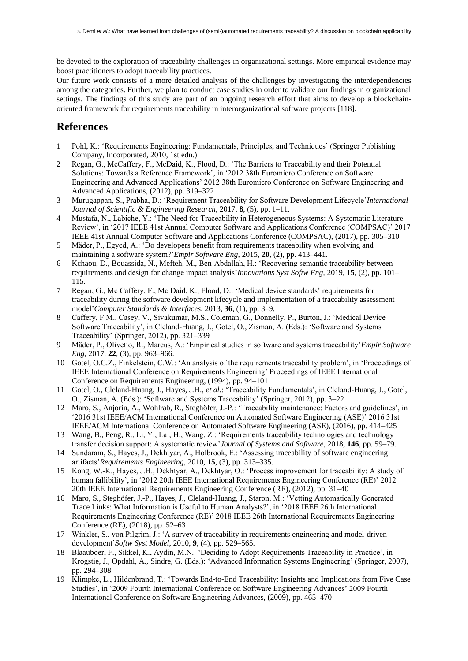be devoted to the exploration of traceability challenges in organizational settings. More empirical evidence may boost practitioners to adopt traceability practices.

Our future work consists of a more detailed analysis of the challenges by investigating the interdependencies among the categories. Further, we plan to conduct case studies in order to validate our findings in organizational settings. The findings of this study are part of an ongoing research effort that aims to develop a blockchainoriented framework for requirements traceability in interorganizational software projects [118].

## **References**

- 1 Pohl, K.: 'Requirements Engineering: Fundamentals, Principles, and Techniques' (Springer Publishing Company, Incorporated, 2010, 1st edn.)
- 2 Regan, G., McCaffery, F., McDaid, K., Flood, D.: 'The Barriers to Traceability and their Potential Solutions: Towards a Reference Framework', in '2012 38th Euromicro Conference on Software Engineering and Advanced Applications' 2012 38th Euromicro Conference on Software Engineering and Advanced Applications, (2012), pp. 319–322
- 3 Murugappan, S., Prabha, D.: 'Requirement Traceability for Software Development Lifecycle'*International Journal of Scientific & Engineering Research*, 2017, **8**, (5), pp. 1–11.
- 4 Mustafa, N., Labiche, Y.: 'The Need for Traceability in Heterogeneous Systems: A Systematic Literature Review', in '2017 IEEE 41st Annual Computer Software and Applications Conference (COMPSAC)' 2017 IEEE 41st Annual Computer Software and Applications Conference (COMPSAC), (2017), pp. 305–310
- 5 Mäder, P., Egyed, A.: 'Do developers benefit from requirements traceability when evolving and maintaining a software system?'*Empir Software Eng*, 2015, **20**, (2), pp. 413–441.
- 6 Kchaou, D., Bouassida, N., Mefteh, M., Ben-Abdallah, H.: 'Recovering semantic traceability between requirements and design for change impact analysis'*Innovations Syst Softw Eng*, 2019, **15**, (2), pp. 101– 115.
- 7 Regan, G., Mc Caffery, F., Mc Daid, K., Flood, D.: 'Medical device standards' requirements for traceability during the software development lifecycle and implementation of a traceability assessment model'*Computer Standards & Interfaces*, 2013, **36**, (1), pp. 3–9.
- 8 Caffery, F.M., Casey, V., Sivakumar, M.S., Coleman, G., Donnelly, P., Burton, J.: 'Medical Device Software Traceability', in Cleland-Huang, J., Gotel, O., Zisman, A. (Eds.): 'Software and Systems Traceability' (Springer, 2012), pp. 321–339
- 9 Mäder, P., Olivetto, R., Marcus, A.: 'Empirical studies in software and systems traceability'*Empir Software Eng*, 2017, **22**, (3), pp. 963–966.
- 10 Gotel, O.C.Z., Finkelstein, C.W.: 'An analysis of the requirements traceability problem', in 'Proceedings of IEEE International Conference on Requirements Engineering' Proceedings of IEEE International Conference on Requirements Engineering, (1994), pp. 94–101
- 11 Gotel, O., Cleland-Huang, J., Hayes, J.H., *et al.*: 'Traceability Fundamentals', in Cleland-Huang, J., Gotel, O., Zisman, A. (Eds.): 'Software and Systems Traceability' (Springer, 2012), pp. 3–22
- 12 Maro, S., Anjorin, A., Wohlrab, R., Steghöfer, J.-P.: 'Traceability maintenance: Factors and guidelines', in '2016 31st IEEE/ACM International Conference on Automated Software Engineering (ASE)' 2016 31st IEEE/ACM International Conference on Automated Software Engineering (ASE), (2016), pp. 414–425
- 13 Wang, B., Peng, R., Li, Y., Lai, H., Wang, Z.: 'Requirements traceability technologies and technology transfer decision support: A systematic review'*Journal of Systems and Software*, 2018, **146**, pp. 59–79.
- 14 Sundaram, S., Hayes, J., Dekhtyar, A., Holbrook, E.: 'Assessing traceability of software engineering artifacts'*Requirements Engineering*, 2010, **15**, (3), pp. 313–335.
- 15 Kong, W.-K., Hayes, J.H., Dekhtyar, A., Dekhtyar, O.: 'Process improvement for traceability: A study of human fallibility', in '2012 20th IEEE International Requirements Engineering Conference (RE)' 2012 20th IEEE International Requirements Engineering Conference (RE), (2012), pp. 31–40
- 16 Maro, S., Steghöfer, J.-P., Hayes, J., Cleland-Huang, J., Staron, M.: 'Vetting Automatically Generated Trace Links: What Information is Useful to Human Analysts?', in '2018 IEEE 26th International Requirements Engineering Conference (RE)' 2018 IEEE 26th International Requirements Engineering Conference (RE), (2018), pp. 52–63
- 17 Winkler, S., von Pilgrim, J.: 'A survey of traceability in requirements engineering and model-driven development'*Softw Syst Model*, 2010, **9**, (4), pp. 529–565.
- 18 Blaauboer, F., Sikkel, K., Aydin, M.N.: 'Deciding to Adopt Requirements Traceability in Practice', in Krogstie, J., Opdahl, A., Sindre, G. (Eds.): 'Advanced Information Systems Engineering' (Springer, 2007), pp. 294–308
- 19 Klimpke, L., Hildenbrand, T.: 'Towards End-to-End Traceability: Insights and Implications from Five Case Studies', in '2009 Fourth International Conference on Software Engineering Advances' 2009 Fourth International Conference on Software Engineering Advances, (2009), pp. 465–470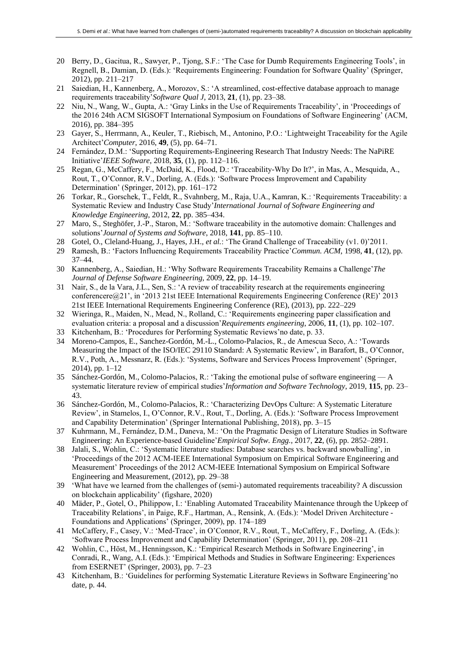- 20 Berry, D., Gacitua, R., Sawyer, P., Tjong, S.F.: 'The Case for Dumb Requirements Engineering Tools', in Regnell, B., Damian, D. (Eds.): 'Requirements Engineering: Foundation for Software Quality' (Springer, 2012), pp. 211–217
- 21 Saiedian, H., Kannenberg, A., Morozov, S.: 'A streamlined, cost-effective database approach to manage requirements traceability'*Software Qual J*, 2013, **21**, (1), pp. 23–38.
- 22 Niu, N., Wang, W., Gupta, A.: 'Gray Links in the Use of Requirements Traceability', in 'Proceedings of the 2016 24th ACM SIGSOFT International Symposium on Foundations of Software Engineering' (ACM, 2016), pp. 384–395
- 23 Gayer, S., Herrmann, A., Keuler, T., Riebisch, M., Antonino, P.O.: 'Lightweight Traceability for the Agile Architect'*Computer*, 2016, **49**, (5), pp. 64–71.
- 24 Fernández, D.M.: 'Supporting Requirements-Engineering Research That Industry Needs: The NaPiRE Initiative'*IEEE Software*, 2018, **35**, (1), pp. 112–116.
- 25 Regan, G., McCaffery, F., McDaid, K., Flood, D.: 'Traceability-Why Do It?', in Mas, A., Mesquida, A., Rout, T., O'Connor, R.V., Dorling, A. (Eds.): 'Software Process Improvement and Capability Determination' (Springer, 2012), pp. 161–172
- 26 Torkar, R., Gorschek, T., Feldt, R., Svahnberg, M., Raja, U.A., Kamran, K.: 'Requirements Traceability: a Systematic Review and Industry Case Study'*International Journal of Software Engineering and Knowledge Engineering*, 2012, **22**, pp. 385–434.
- 27 Maro, S., Steghöfer, J.-P., Staron, M.: 'Software traceability in the automotive domain: Challenges and solutions'*Journal of Systems and Software*, 2018, **141**, pp. 85–110.
- 28 Gotel, O., Cleland-Huang, J., Hayes, J.H., *et al.*: 'The Grand Challenge of Traceability (v1. 0)'2011.
- 29 Ramesh, B.: 'Factors Influencing Requirements Traceability Practice'*Commun. ACM*, 1998, **41**, (12), pp. 37–44.
- 30 Kannenberg, A., Saiedian, H.: 'Why Software Requirements Traceability Remains a Challenge'*The Journal of Defense Software Engineering*, 2009, **22**, pp. 14–19.
- 31 Nair, S., de la Vara, J.L., Sen, S.: 'A review of traceability research at the requirements engineering conferencere@21', in '2013 21st IEEE International Requirements Engineering Conference (RE)' 2013 21st IEEE International Requirements Engineering Conference (RE), (2013), pp. 222–229
- 32 Wieringa, R., Maiden, N., Mead, N., Rolland, C.: 'Requirements engineering paper classification and evaluation criteria: a proposal and a discussion'*Requirements engineering*, 2006, **11**, (1), pp. 102–107.
- 33 Kitchenham, B.: 'Procedures for Performing Systematic Reviews'no date, p. 33.
- 34 Moreno-Campos, E., Sanchez-Gordón, M.-L., Colomo-Palacios, R., de Amescua Seco, A.: 'Towards Measuring the Impact of the ISO/IEC 29110 Standard: A Systematic Review', in Barafort, B., O'Connor, R.V., Poth, A., Messnarz, R. (Eds.): 'Systems, Software and Services Process Improvement' (Springer, 2014), pp. 1–12
- 35 Sánchez-Gordón, M., Colomo-Palacios, R.: 'Taking the emotional pulse of software engineering A systematic literature review of empirical studies'*Information and Software Technology*, 2019, **115**, pp. 23– 43.
- 36 Sánchez-Gordón, M., Colomo-Palacios, R.: 'Characterizing DevOps Culture: A Systematic Literature Review', in Stamelos, I., O'Connor, R.V., Rout, T., Dorling, A. (Eds.): 'Software Process Improvement and Capability Determination' (Springer International Publishing, 2018), pp. 3–15
- 37 Kuhrmann, M., Fernández, D.M., Daneva, M.: 'On the Pragmatic Design of Literature Studies in Software Engineering: An Experience-based Guideline'*Empirical Softw. Engg.*, 2017, **22**, (6), pp. 2852–2891.
- 38 Jalali, S., Wohlin, C.: 'Systematic literature studies: Database searches vs. backward snowballing', in 'Proceedings of the 2012 ACM-IEEE International Symposium on Empirical Software Engineering and Measurement' Proceedings of the 2012 ACM-IEEE International Symposium on Empirical Software Engineering and Measurement, (2012), pp. 29–38
- 39 'What have we learned from the challenges of (semi-) automated requirements traceability? A discussion on blockchain applicability' (figshare, 2020)
- 40 Mäder, P., Gotel, O., Philippow, I.: 'Enabling Automated Traceability Maintenance through the Upkeep of Traceability Relations', in Paige, R.F., Hartman, A., Rensink, A. (Eds.): 'Model Driven Architecture - Foundations and Applications' (Springer, 2009), pp. 174–189
- 41 McCaffery, F., Casey, V.: 'Med-Trace', in O'Connor, R.V., Rout, T., McCaffery, F., Dorling, A. (Eds.): 'Software Process Improvement and Capability Determination' (Springer, 2011), pp. 208–211
- 42 Wohlin, C., Höst, M., Henningsson, K.: 'Empirical Research Methods in Software Engineering', in Conradi, R., Wang, A.I. (Eds.): 'Empirical Methods and Studies in Software Engineering: Experiences from ESERNET' (Springer, 2003), pp. 7–23
- 43 Kitchenham, B.: 'Guidelines for performing Systematic Literature Reviews in Software Engineering'no date, p. 44.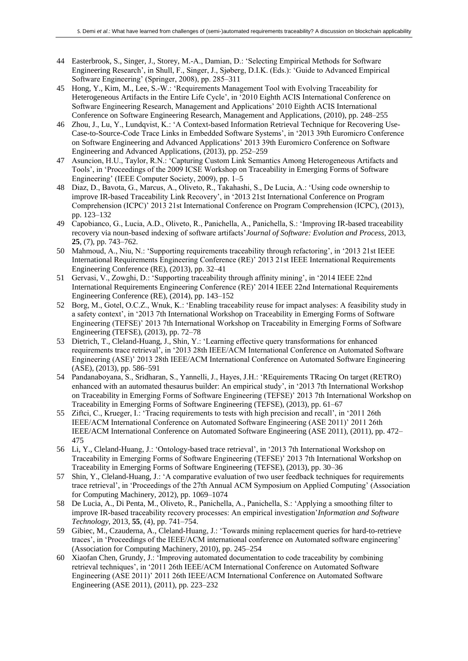- 44 Easterbrook, S., Singer, J., Storey, M.-A., Damian, D.: 'Selecting Empirical Methods for Software Engineering Research', in Shull, F., Singer, J., Sjøberg, D.I.K. (Eds.): 'Guide to Advanced Empirical Software Engineering' (Springer, 2008), pp. 285–311
- 45 Hong, Y., Kim, M., Lee, S.-W.: 'Requirements Management Tool with Evolving Traceability for Heterogeneous Artifacts in the Entire Life Cycle', in '2010 Eighth ACIS International Conference on Software Engineering Research, Management and Applications' 2010 Eighth ACIS International Conference on Software Engineering Research, Management and Applications, (2010), pp. 248–255
- 46 Zhou, J., Lu, Y., Lundqvist, K.: 'A Context-based Information Retrieval Technique for Recovering Use-Case-to-Source-Code Trace Links in Embedded Software Systems', in '2013 39th Euromicro Conference on Software Engineering and Advanced Applications' 2013 39th Euromicro Conference on Software Engineering and Advanced Applications, (2013), pp. 252–259
- 47 Asuncion, H.U., Taylor, R.N.: 'Capturing Custom Link Semantics Among Heterogeneous Artifacts and Tools', in 'Proceedings of the 2009 ICSE Workshop on Traceability in Emerging Forms of Software Engineering' (IEEE Computer Society, 2009), pp. 1–5
- 48 Diaz, D., Bavota, G., Marcus, A., Oliveto, R., Takahashi, S., De Lucia, A.: 'Using code ownership to improve IR-based Traceability Link Recovery', in '2013 21st International Conference on Program Comprehension (ICPC)' 2013 21st International Conference on Program Comprehension (ICPC), (2013), pp. 123–132
- 49 Capobianco, G., Lucia, A.D., Oliveto, R., Panichella, A., Panichella, S.: 'Improving IR-based traceability recovery via noun-based indexing of software artifacts'*Journal of Software: Evolution and Process*, 2013, **25**, (7), pp. 743–762.
- 50 Mahmoud, A., Niu, N.: 'Supporting requirements traceability through refactoring', in '2013 21st IEEE International Requirements Engineering Conference (RE)' 2013 21st IEEE International Requirements Engineering Conference (RE), (2013), pp. 32–41
- 51 Gervasi, V., Zowghi, D.: 'Supporting traceability through affinity mining', in '2014 IEEE 22nd International Requirements Engineering Conference (RE)' 2014 IEEE 22nd International Requirements Engineering Conference (RE), (2014), pp. 143–152
- 52 Borg, M., Gotel, O.C.Z., Wnuk, K.: 'Enabling traceability reuse for impact analyses: A feasibility study in a safety context', in '2013 7th International Workshop on Traceability in Emerging Forms of Software Engineering (TEFSE)' 2013 7th International Workshop on Traceability in Emerging Forms of Software Engineering (TEFSE), (2013), pp. 72–78
- 53 Dietrich, T., Cleland-Huang, J., Shin, Y.: 'Learning effective query transformations for enhanced requirements trace retrieval', in '2013 28th IEEE/ACM International Conference on Automated Software Engineering (ASE)' 2013 28th IEEE/ACM International Conference on Automated Software Engineering (ASE), (2013), pp. 586–591
- 54 Pandanaboyana, S., Sridharan, S., Yannelli, J., Hayes, J.H.: 'REquirements TRacing On target (RETRO) enhanced with an automated thesaurus builder: An empirical study', in '2013 7th International Workshop on Traceability in Emerging Forms of Software Engineering (TEFSE)' 2013 7th International Workshop on Traceability in Emerging Forms of Software Engineering (TEFSE), (2013), pp. 61–67
- 55 Ziftci, C., Krueger, I.: 'Tracing requirements to tests with high precision and recall', in '2011 26th IEEE/ACM International Conference on Automated Software Engineering (ASE 2011)' 2011 26th IEEE/ACM International Conference on Automated Software Engineering (ASE 2011), (2011), pp. 472– 475
- 56 Li, Y., Cleland-Huang, J.: 'Ontology-based trace retrieval', in '2013 7th International Workshop on Traceability in Emerging Forms of Software Engineering (TEFSE)' 2013 7th International Workshop on Traceability in Emerging Forms of Software Engineering (TEFSE), (2013), pp. 30–36
- 57 Shin, Y., Cleland-Huang, J.: 'A comparative evaluation of two user feedback techniques for requirements trace retrieval', in 'Proceedings of the 27th Annual ACM Symposium on Applied Computing' (Association for Computing Machinery, 2012), pp. 1069–1074
- 58 De Lucia, A., Di Penta, M., Oliveto, R., Panichella, A., Panichella, S.: 'Applying a smoothing filter to improve IR-based traceability recovery processes: An empirical investigation'*Information and Software Technology*, 2013, **55**, (4), pp. 741–754.
- 59 Gibiec, M., Czauderna, A., Cleland-Huang, J.: 'Towards mining replacement queries for hard-to-retrieve traces', in 'Proceedings of the IEEE/ACM international conference on Automated software engineering' (Association for Computing Machinery, 2010), pp. 245–254
- 60 Xiaofan Chen, Grundy, J.: 'Improving automated documentation to code traceability by combining retrieval techniques', in '2011 26th IEEE/ACM International Conference on Automated Software Engineering (ASE 2011)' 2011 26th IEEE/ACM International Conference on Automated Software Engineering (ASE 2011), (2011), pp. 223–232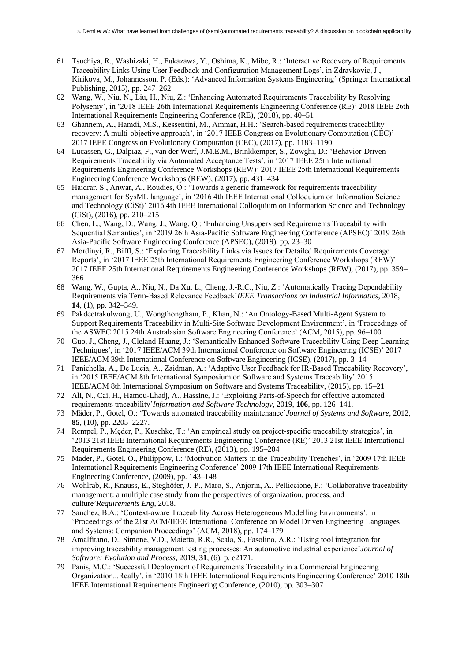- 61 Tsuchiya, R., Washizaki, H., Fukazawa, Y., Oshima, K., Mibe, R.: 'Interactive Recovery of Requirements Traceability Links Using User Feedback and Configuration Management Logs', in Zdravkovic, J., Kirikova, M., Johannesson, P. (Eds.): 'Advanced Information Systems Engineering' (Springer International Publishing, 2015), pp. 247–262
- 62 Wang, W., Niu, N., Liu, H., Niu, Z.: 'Enhancing Automated Requirements Traceability by Resolving Polysemy', in '2018 IEEE 26th International Requirements Engineering Conference (RE)' 2018 IEEE 26th International Requirements Engineering Conference (RE), (2018), pp. 40–51
- 63 Ghannem, A., Hamdi, M.S., Kessentini, M., Ammar, H.H.: 'Search-based requirements traceability recovery: A multi-objective approach', in '2017 IEEE Congress on Evolutionary Computation (CEC)' 2017 IEEE Congress on Evolutionary Computation (CEC), (2017), pp. 1183–1190
- 64 Lucassen, G., Dalpiaz, F., van der Werf, J.M.E.M., Brinkkemper, S., Zowghi, D.: 'Behavior-Driven Requirements Traceability via Automated Acceptance Tests', in '2017 IEEE 25th International Requirements Engineering Conference Workshops (REW)' 2017 IEEE 25th International Requirements Engineering Conference Workshops (REW), (2017), pp. 431–434
- 65 Haidrar, S., Anwar, A., Roudies, O.: 'Towards a generic framework for requirements traceability management for SysML language', in '2016 4th IEEE International Colloquium on Information Science and Technology (CiSt)' 2016 4th IEEE International Colloquium on Information Science and Technology (CiSt), (2016), pp. 210–215
- 66 Chen, L., Wang, D., Wang, J., Wang, Q.: 'Enhancing Unsupervised Requirements Traceability with Sequential Semantics', in '2019 26th Asia-Pacific Software Engineering Conference (APSEC)' 2019 26th Asia-Pacific Software Engineering Conference (APSEC), (2019), pp. 23–30
- 67 Mordinyi, R., Biffl, S.: 'Exploring Traceability Links via Issues for Detailed Requirements Coverage Reports', in '2017 IEEE 25th International Requirements Engineering Conference Workshops (REW)' 2017 IEEE 25th International Requirements Engineering Conference Workshops (REW), (2017), pp. 359– 366
- 68 Wang, W., Gupta, A., Niu, N., Da Xu, L., Cheng, J.-R.C., Niu, Z.: 'Automatically Tracing Dependability Requirements via Term-Based Relevance Feedback'*IEEE Transactions on Industrial Informatics*, 2018, **14**, (1), pp. 342–349.
- 69 Pakdeetrakulwong, U., Wongthongtham, P., Khan, N.: 'An Ontology-Based Multi-Agent System to Support Requirements Traceability in Multi-Site Software Development Environment', in 'Proceedings of the ASWEC 2015 24th Australasian Software Engineering Conference' (ACM, 2015), pp. 96–100
- 70 Guo, J., Cheng, J., Cleland-Huang, J.: 'Semantically Enhanced Software Traceability Using Deep Learning Techniques', in '2017 IEEE/ACM 39th International Conference on Software Engineering (ICSE)' 2017 IEEE/ACM 39th International Conference on Software Engineering (ICSE), (2017), pp. 3–14
- 71 Panichella, A., De Lucia, A., Zaidman, A.: 'Adaptive User Feedback for IR-Based Traceability Recovery', in '2015 IEEE/ACM 8th International Symposium on Software and Systems Traceability' 2015 IEEE/ACM 8th International Symposium on Software and Systems Traceability, (2015), pp. 15–21
- 72 Ali, N., Cai, H., Hamou-Lhadj, A., Hassine, J.: 'Exploiting Parts-of-Speech for effective automated requirements traceability'*Information and Software Technology*, 2019, **106**, pp. 126–141.
- 73 Mäder, P., Gotel, O.: 'Towards automated traceability maintenance'*Journal of Systems and Software*, 2012, **85**, (10), pp. 2205–2227.
- 74 Rempel, P., Mçder, P., Kuschke, T.: 'An empirical study on project-specific traceability strategies', in '2013 21st IEEE International Requirements Engineering Conference (RE)' 2013 21st IEEE International Requirements Engineering Conference (RE), (2013), pp. 195–204
- 75 Mader, P., Gotel, O., Philippow, I.: 'Motivation Matters in the Traceability Trenches', in '2009 17th IEEE International Requirements Engineering Conference' 2009 17th IEEE International Requirements Engineering Conference, (2009), pp. 143–148
- 76 Wohlrab, R., Knauss, E., Steghöfer, J.-P., Maro, S., Anjorin, A., Pelliccione, P.: 'Collaborative traceability management: a multiple case study from the perspectives of organization, process, and culture'*Requirements Eng*, 2018.
- 77 Sanchez, B.A.: 'Context-aware Traceability Across Heterogeneous Modelling Environments', in 'Proceedings of the 21st ACM/IEEE International Conference on Model Driven Engineering Languages and Systems: Companion Proceedings' (ACM, 2018), pp. 174–179
- 78 Amalfitano, D., Simone, V.D., Maietta, R.R., Scala, S., Fasolino, A.R.: 'Using tool integration for improving traceability management testing processes: An automotive industrial experience'*Journal of Software: Evolution and Process*, 2019, **31**, (6), p. e2171.
- 79 Panis, M.C.: 'Successful Deployment of Requirements Traceability in a Commercial Engineering Organization...Really', in '2010 18th IEEE International Requirements Engineering Conference' 2010 18th IEEE International Requirements Engineering Conference, (2010), pp. 303–307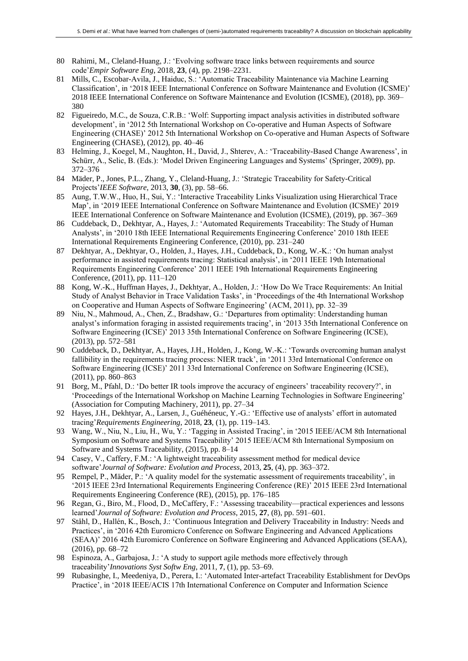- 80 Rahimi, M., Cleland-Huang, J.: 'Evolving software trace links between requirements and source code'*Empir Software Eng*, 2018, **23**, (4), pp. 2198–2231.
- 81 Mills, C., Escobar-Avila, J., Haiduc, S.: 'Automatic Traceability Maintenance via Machine Learning Classification', in '2018 IEEE International Conference on Software Maintenance and Evolution (ICSME)' 2018 IEEE International Conference on Software Maintenance and Evolution (ICSME), (2018), pp. 369– 380
- 82 Figueiredo, M.C., de Souza, C.R.B.: 'Wolf: Supporting impact analysis activities in distributed software development', in '2012 5th International Workshop on Co-operative and Human Aspects of Software Engineering (CHASE)' 2012 5th International Workshop on Co-operative and Human Aspects of Software Engineering (CHASE), (2012), pp. 40–46
- 83 Helming, J., Koegel, M., Naughton, H., David, J., Shterev, A.: 'Traceability-Based Change Awareness', in Schürr, A., Selic, B. (Eds.): 'Model Driven Engineering Languages and Systems' (Springer, 2009), pp. 372–376
- 84 Mäder, P., Jones, P.L., Zhang, Y., Cleland-Huang, J.: 'Strategic Traceability for Safety-Critical Projects'*IEEE Software*, 2013, **30**, (3), pp. 58–66.
- 85 Aung, T.W.W., Huo, H., Sui, Y.: 'Interactive Traceability Links Visualization using Hierarchical Trace Map', in '2019 IEEE International Conference on Software Maintenance and Evolution (ICSME)' 2019 IEEE International Conference on Software Maintenance and Evolution (ICSME), (2019), pp. 367–369
- 86 Cuddeback, D., Dekhtyar, A., Hayes, J.: 'Automated Requirements Traceability: The Study of Human Analysts', in '2010 18th IEEE International Requirements Engineering Conference' 2010 18th IEEE International Requirements Engineering Conference, (2010), pp. 231–240
- 87 Dekhtyar, A., Dekhtyar, O., Holden, J., Hayes, J.H., Cuddeback, D., Kong, W.-K.: 'On human analyst performance in assisted requirements tracing: Statistical analysis', in '2011 IEEE 19th International Requirements Engineering Conference' 2011 IEEE 19th International Requirements Engineering Conference, (2011), pp. 111–120
- 88 Kong, W.-K., Huffman Hayes, J., Dekhtyar, A., Holden, J.: 'How Do We Trace Requirements: An Initial Study of Analyst Behavior in Trace Validation Tasks', in 'Proceedings of the 4th International Workshop on Cooperative and Human Aspects of Software Engineering' (ACM, 2011), pp. 32–39
- 89 Niu, N., Mahmoud, A., Chen, Z., Bradshaw, G.: 'Departures from optimality: Understanding human analyst's information foraging in assisted requirements tracing', in '2013 35th International Conference on Software Engineering (ICSE)' 2013 35th International Conference on Software Engineering (ICSE), (2013), pp. 572–581
- 90 Cuddeback, D., Dekhtyar, A., Hayes, J.H., Holden, J., Kong, W.-K.: 'Towards overcoming human analyst fallibility in the requirements tracing process: NIER track', in '2011 33rd International Conference on Software Engineering (ICSE)' 2011 33rd International Conference on Software Engineering (ICSE), (2011), pp. 860–863
- 91 Borg, M., Pfahl, D.: 'Do better IR tools improve the accuracy of engineers' traceability recovery?', in 'Proceedings of the International Workshop on Machine Learning Technologies in Software Engineering' (Association for Computing Machinery, 2011), pp. 27–34
- 92 Hayes, J.H., Dekhtyar, A., Larsen, J., Guéhéneuc, Y.-G.: 'Effective use of analysts' effort in automated tracing'*Requirements Engineering*, 2018, **23**, (1), pp. 119–143.
- 93 Wang, W., Niu, N., Liu, H., Wu, Y.: 'Tagging in Assisted Tracing', in '2015 IEEE/ACM 8th International Symposium on Software and Systems Traceability' 2015 IEEE/ACM 8th International Symposium on Software and Systems Traceability, (2015), pp. 8–14
- 94 Casey, V., Caffery, F.M.: 'A lightweight traceability assessment method for medical device software'*Journal of Software: Evolution and Process*, 2013, **25**, (4), pp. 363–372.
- 95 Rempel, P., Mäder, P.: 'A quality model for the systematic assessment of requirements traceability', in '2015 IEEE 23rd International Requirements Engineering Conference (RE)' 2015 IEEE 23rd International Requirements Engineering Conference (RE), (2015), pp. 176–185
- 96 Regan, G., Biro, M., Flood, D., McCaffery, F.: 'Assessing traceability—practical experiences and lessons learned'*Journal of Software: Evolution and Process*, 2015, **27**, (8), pp. 591–601.
- 97 Ståhl, D., Hallén, K., Bosch, J.: 'Continuous Integration and Delivery Traceability in Industry: Needs and Practices', in '2016 42th Euromicro Conference on Software Engineering and Advanced Applications (SEAA)' 2016 42th Euromicro Conference on Software Engineering and Advanced Applications (SEAA), (2016), pp. 68–72
- 98 Espinoza, A., Garbajosa, J.: 'A study to support agile methods more effectively through traceability'*Innovations Syst Softw Eng*, 2011, **7**, (1), pp. 53–69.
- 99 Rubasinghe, I., Meedeniya, D., Perera, I.: 'Automated Inter-artefact Traceability Establishment for DevOps Practice', in '2018 IEEE/ACIS 17th International Conference on Computer and Information Science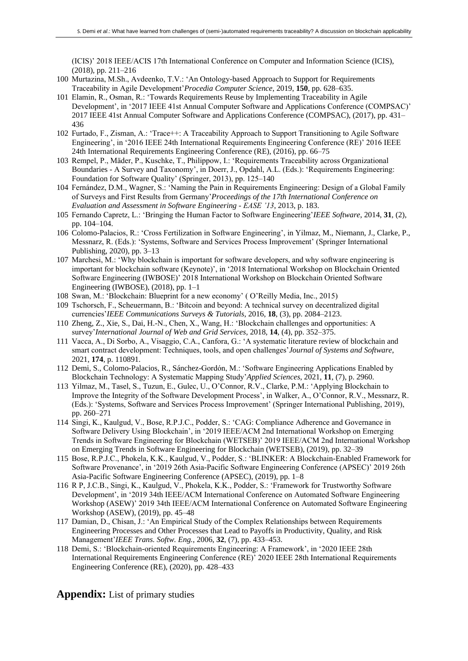(ICIS)' 2018 IEEE/ACIS 17th International Conference on Computer and Information Science (ICIS), (2018), pp. 211–216

- 100 Murtazina, M.Sh., Avdeenko, T.V.: 'An Ontology-based Approach to Support for Requirements Traceability in Agile Development'*Procedia Computer Science*, 2019, **150**, pp. 628–635.
- 101 Elamin, R., Osman, R.: 'Towards Requirements Reuse by Implementing Traceability in Agile Development', in '2017 IEEE 41st Annual Computer Software and Applications Conference (COMPSAC)' 2017 IEEE 41st Annual Computer Software and Applications Conference (COMPSAC), (2017), pp. 431– 436
- 102 Furtado, F., Zisman, A.: 'Trace++: A Traceability Approach to Support Transitioning to Agile Software Engineering', in '2016 IEEE 24th International Requirements Engineering Conference (RE)' 2016 IEEE 24th International Requirements Engineering Conference (RE), (2016), pp. 66–75
- 103 Rempel, P., Mäder, P., Kuschke, T., Philippow, I.: 'Requirements Traceability across Organizational Boundaries - A Survey and Taxonomy', in Doerr, J., Opdahl, A.L. (Eds.): 'Requirements Engineering: Foundation for Software Quality' (Springer, 2013), pp. 125–140
- 104 Fernández, D.M., Wagner, S.: 'Naming the Pain in Requirements Engineering: Design of a Global Family of Surveys and First Results from Germany'*Proceedings of the 17th International Conference on Evaluation and Assessment in Software Engineering - EASE '13*, 2013, p. 183.
- 105 Fernando Capretz, L.: 'Bringing the Human Factor to Software Engineering'*IEEE Software*, 2014, **31**, (2), pp. 104–104.
- 106 Colomo-Palacios, R.: 'Cross Fertilization in Software Engineering', in Yilmaz, M., Niemann, J., Clarke, P., Messnarz, R. (Eds.): 'Systems, Software and Services Process Improvement' (Springer International Publishing, 2020), pp. 3–13
- 107 Marchesi, M.: 'Why blockchain is important for software developers, and why software engineering is important for blockchain software (Keynote)', in '2018 International Workshop on Blockchain Oriented Software Engineering (IWBOSE)' 2018 International Workshop on Blockchain Oriented Software Engineering (IWBOSE), (2018), pp. 1–1
- 108 Swan, M.: 'Blockchain: Blueprint for a new economy' ( O'Reilly Media, Inc., 2015)
- 109 Tschorsch, F., Scheuermann, B.: 'Bitcoin and beyond: A technical survey on decentralized digital currencies'*IEEE Communications Surveys & Tutorials*, 2016, **18**, (3), pp. 2084–2123.
- 110 Zheng, Z., Xie, S., Dai, H.-N., Chen, X., Wang, H.: 'Blockchain challenges and opportunities: A survey'*International Journal of Web and Grid Services*, 2018, **14**, (4), pp. 352–375.
- 111 Vacca, A., Di Sorbo, A., Visaggio, C.A., Canfora, G.: 'A systematic literature review of blockchain and smart contract development: Techniques, tools, and open challenges'*Journal of Systems and Software*, 2021, **174**, p. 110891.
- 112 Demi, S., Colomo-Palacios, R., Sánchez-Gordón, M.: 'Software Engineering Applications Enabled by Blockchain Technology: A Systematic Mapping Study'*Applied Sciences*, 2021, **11**, (7), p. 2960.
- 113 Yilmaz, M., Tasel, S., Tuzun, E., Gulec, U., O'Connor, R.V., Clarke, P.M.: 'Applying Blockchain to Improve the Integrity of the Software Development Process', in Walker, A., O'Connor, R.V., Messnarz, R. (Eds.): 'Systems, Software and Services Process Improvement' (Springer International Publishing, 2019), pp. 260–271
- 114 Singi, K., Kaulgud, V., Bose, R.P.J.C., Podder, S.: 'CAG: Compliance Adherence and Governance in Software Delivery Using Blockchain', in '2019 IEEE/ACM 2nd International Workshop on Emerging Trends in Software Engineering for Blockchain (WETSEB)' 2019 IEEE/ACM 2nd International Workshop on Emerging Trends in Software Engineering for Blockchain (WETSEB), (2019), pp. 32–39
- 115 Bose, R.P.J.C., Phokela, K.K., Kaulgud, V., Podder, S.: 'BLINKER: A Blockchain-Enabled Framework for Software Provenance', in '2019 26th Asia-Pacific Software Engineering Conference (APSEC)' 2019 26th Asia-Pacific Software Engineering Conference (APSEC), (2019), pp. 1–8
- 116 R P, J.C.B., Singi, K., Kaulgud, V., Phokela, K.K., Podder, S.: 'Framework for Trustworthy Software Development', in '2019 34th IEEE/ACM International Conference on Automated Software Engineering Workshop (ASEW)' 2019 34th IEEE/ACM International Conference on Automated Software Engineering Workshop (ASEW), (2019), pp. 45–48
- 117 Damian, D., Chisan, J.: 'An Empirical Study of the Complex Relationships between Requirements Engineering Processes and Other Processes that Lead to Payoffs in Productivity, Quality, and Risk Management'*IEEE Trans. Softw. Eng.*, 2006, **32**, (7), pp. 433–453.
- 118 Demi, S.: 'Blockchain-oriented Requirements Engineering: A Framework', in '2020 IEEE 28th International Requirements Engineering Conference (RE)' 2020 IEEE 28th International Requirements Engineering Conference (RE), (2020), pp. 428–433

**Appendix:** List of primary studies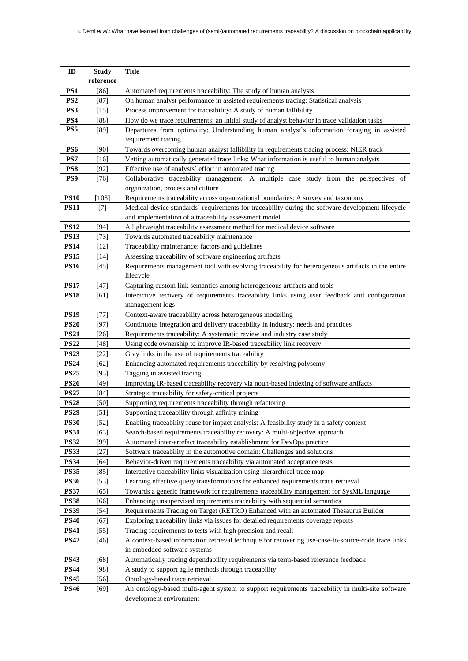| ID                         | <b>Study</b>        | <b>Title</b>                                                                                                                |
|----------------------------|---------------------|-----------------------------------------------------------------------------------------------------------------------------|
| PS1                        | reference<br>$[86]$ | Automated requirements traceability: The study of human analysts                                                            |
| PS <sub>2</sub>            | $[87]$              | On human analyst performance in assisted requirements tracing: Statistical analysis                                         |
| PS3                        | $[15]$              | Process improvement for traceability: A study of human fallibility                                                          |
| PS4                        | [88]                | How do we trace requirements: an initial study of analyst behavior in trace validation tasks                                |
| PS5                        | $[89]$              | Departures from optimality: Understanding human analyst's information foraging in assisted                                  |
|                            |                     | requirement tracing                                                                                                         |
| PS6                        | [90]                | Towards overcoming human analyst fallibility in requirements tracing process: NIER track                                    |
| PS7                        | [16]                | Vetting automatically generated trace links: What information is useful to human analysts                                   |
| PS8                        | $[92]$              | Effective use of analysts' effort in automated tracing                                                                      |
| PS9                        | $[76]$              | Collaborative traceability management: A multiple case study from the perspectives of                                       |
|                            |                     | organization, process and culture                                                                                           |
| <b>PS10</b>                | $[103]$             | Requirements traceability across organizational boundaries: A survey and taxonomy                                           |
| <b>PS11</b>                | $[7]$               | Medical device standards` requirements for traceability during the software development lifecycle                           |
|                            |                     | and implementation of a traceability assessment model                                                                       |
| <b>PS12</b>                | $[94]$              | A lightweight traceability assessment method for medical device software                                                    |
| <b>PS13</b>                | $[73]$              | Towards automated traceability maintenance                                                                                  |
| <b>PS14</b>                | $[12]$              | Traceability maintenance: factors and guidelines                                                                            |
| <b>PS15</b>                | $[14]$              | Assessing traceability of software engineering artifacts                                                                    |
| <b>PS16</b>                | $[45]$              | Requirements management tool with evolving traceability for heterogeneous artifacts in the entire                           |
|                            |                     | lifecycle                                                                                                                   |
| <b>PS17</b>                | $[47]$              | Capturing custom link semantics among heterogeneous artifacts and tools                                                     |
| <b>PS18</b>                | [61]                | Interactive recovery of requirements traceability links using user feedback and configuration                               |
|                            |                     | management logs                                                                                                             |
| <b>PS19</b>                | $[77]$              | Context-aware traceability across heterogeneous modelling                                                                   |
| <b>PS20</b>                | $[97]$              | Continuous integration and delivery traceability in industry: needs and practices                                           |
| <b>PS21</b>                | $[26]$              | Requirements traceability: A systematic review and industry case study                                                      |
| <b>PS22</b>                | [48]                | Using code ownership to improve IR-based traceability link recovery<br>Gray links in the use of requirements traceability   |
| <b>PS23</b><br><b>PS24</b> | [22]<br>[62]        | Enhancing automated requirements traceability by resolving polysemy                                                         |
| <b>PS25</b>                | [93]                | Tagging in assisted tracing                                                                                                 |
| <b>PS26</b>                | [49]                | Improving IR-based traceability recovery via noun-based indexing of software artifacts                                      |
| <b>PS27</b>                | [84]                | Strategic traceability for safety-critical projects                                                                         |
| <b>PS28</b>                | [50]                | Supporting requirements traceability through refactoring                                                                    |
| <b>PS29</b>                | [51]                | Supporting traceability through affinity mining                                                                             |
| <b>PS30</b>                | $[52]$              | Enabling traceability reuse for impact analysis: A feasibility study in a safety context                                    |
| <b>PS31</b>                | $[63]$              | Search-based requirements traceability recovery: A multi-objective approach                                                 |
| <b>PS32</b>                | $[99]$              | Automated inter-artefact traceability establishment for DevOps practice                                                     |
| <b>PS33</b>                | $[27]$              | Software traceability in the automotive domain: Challenges and solutions                                                    |
| <b>PS34</b>                | [64]                | Behavior-driven requirements traceability via automated acceptance tests                                                    |
| <b>PS35</b>                | $[85]$              | Interactive traceability links visualization using hierarchical trace map                                                   |
| <b>PS36</b>                | [53]                | Learning effective query transformations for enhanced requirements trace retrieval                                          |
| <b>PS37</b>                | [65]                | Towards a generic framework for requirements traceability management for SysML language                                     |
| <b>PS38</b>                | [66]                | Enhancing unsupervised requirements traceability with sequential semantics                                                  |
| <b>PS39</b>                | $[54]$              | Requirements Tracing on Target (RETRO) Enhanced with an automated Thesaurus Builder                                         |
| <b>PS40</b>                | [67]                | Exploring traceability links via issues for detailed requirements coverage reports                                          |
| <b>PS41</b>                | $[55]$              | Tracing requirements to tests with high precision and recall                                                                |
| <b>PS42</b>                | $[46]$              | A context-based information retrieval technique for recovering use-case-to-source-code trace links                          |
|                            |                     | in embedded software systems                                                                                                |
| <b>PS43</b>                | $[68]$              | Automatically tracing dependability requirements via term-based relevance feedback                                          |
| <b>PS44</b>                | [98]                | A study to support agile methods through traceability                                                                       |
| <b>PS45</b>                | $[56]$              | Ontology-based trace retrieval                                                                                              |
| <b>PS46</b>                | $[69]$              | An ontology-based multi-agent system to support requirements traceability in multi-site software<br>development environment |
|                            |                     |                                                                                                                             |